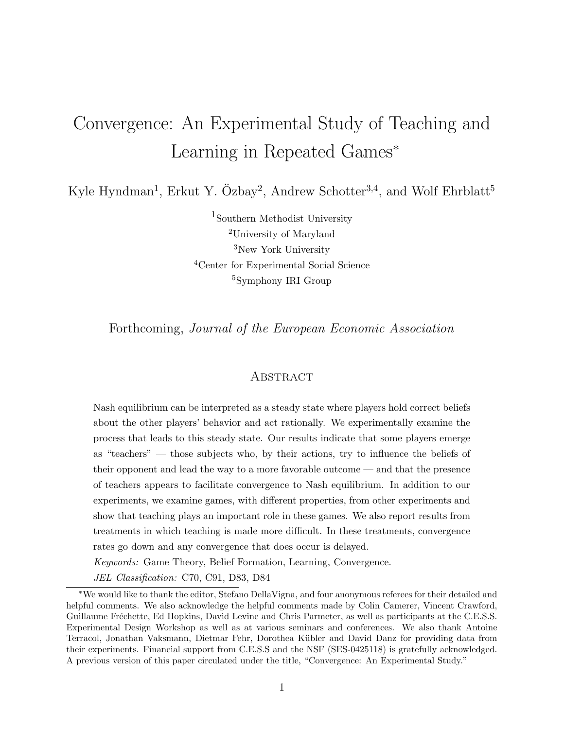# Convergence: An Experimental Study of Teaching and Learning in Repeated Games<sup>∗</sup>

Kyle Hyndman<sup>1</sup>, Erkut Y. Özbay<sup>2</sup>, Andrew Schotter<sup>3,4</sup>, and Wolf Ehrblatt<sup>5</sup>

 Southern Methodist University University of Maryland New York University Center for Experimental Social Science Symphony IRI Group

Forthcoming, Journal of the European Economic Association

# **ABSTRACT**

Nash equilibrium can be interpreted as a steady state where players hold correct beliefs about the other players' behavior and act rationally. We experimentally examine the process that leads to this steady state. Our results indicate that some players emerge as "teachers" — those subjects who, by their actions, try to influence the beliefs of their opponent and lead the way to a more favorable outcome — and that the presence of teachers appears to facilitate convergence to Nash equilibrium. In addition to our experiments, we examine games, with different properties, from other experiments and show that teaching plays an important role in these games. We also report results from treatments in which teaching is made more difficult. In these treatments, convergence rates go down and any convergence that does occur is delayed.

Keywords: Game Theory, Belief Formation, Learning, Convergence.

JEL Classification: C70, C91, D83, D84

<sup>∗</sup>We would like to thank the editor, Stefano DellaVigna, and four anonymous referees for their detailed and helpful comments. We also acknowledge the helpful comments made by Colin Camerer, Vincent Crawford, Guillaume Fréchette, Ed Hopkins, David Levine and Chris Parmeter, as well as participants at the C.E.S.S. Experimental Design Workshop as well as at various seminars and conferences. We also thank Antoine Terracol, Jonathan Vaksmann, Dietmar Fehr, Dorothea Kübler and David Danz for providing data from their experiments. Financial support from C.E.S.S and the NSF (SES-0425118) is gratefully acknowledged. A previous version of this paper circulated under the title, "Convergence: An Experimental Study."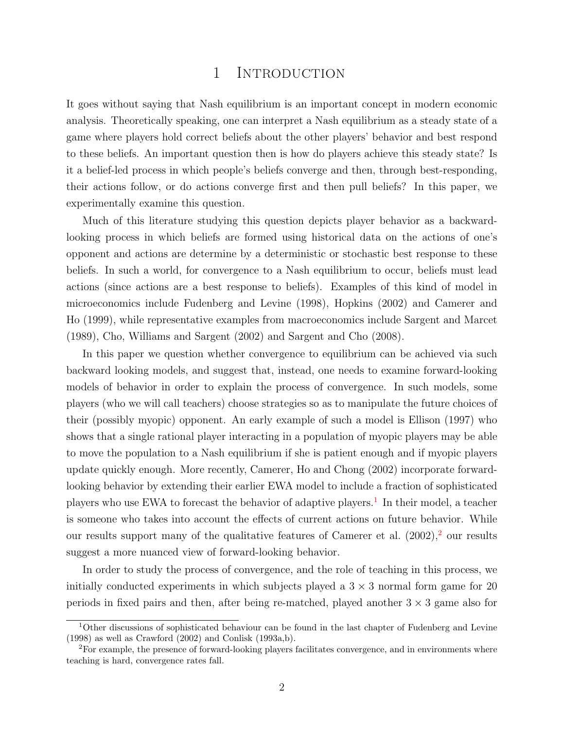# 1 Introduction

It goes without saying that Nash equilibrium is an important concept in modern economic analysis. Theoretically speaking, one can interpret a Nash equilibrium as a steady state of a game where players hold correct beliefs about the other players' behavior and best respond to these beliefs. An important question then is how do players achieve this steady state? Is it a belief-led process in which people's beliefs converge and then, through best-responding, their actions follow, or do actions converge first and then pull beliefs? In this paper, we experimentally examine this question.

Much of this literature studying this question depicts player behavior as a backwardlooking process in which beliefs are formed using historical data on the actions of one's opponent and actions are determine by a deterministic or stochastic best response to these beliefs. In such a world, for convergence to a Nash equilibrium to occur, beliefs must lead actions (since actions are a best response to beliefs). Examples of this kind of model in microeconomics include [Fudenberg and Levine](#page-34-0) [\(1998\)](#page-34-0), [Hopkins](#page-34-1) [\(2002\)](#page-34-1) and [Camerer and](#page-33-0) [Ho](#page-33-0) [\(1999\)](#page-33-0), while representative examples from macroeconomics include [Sargent and Marcet](#page-35-0) [\(1989\)](#page-35-0), [Cho, Williams and Sargent](#page-33-1) [\(2002\)](#page-33-1) and [Sargent and Cho](#page-35-1) [\(2008\)](#page-35-1).

In this paper we question whether convergence to equilibrium can be achieved via such backward looking models, and suggest that, instead, one needs to examine forward-looking models of behavior in order to explain the process of convergence. In such models, some players (who we will call teachers) choose strategies so as to manipulate the future choices of their (possibly myopic) opponent. An early example of such a model is [Ellison](#page-34-2) [\(1997\)](#page-34-2) who shows that a single rational player interacting in a population of myopic players may be able to move the population to a Nash equilibrium if she is patient enough and if myopic players update quickly enough. More recently, [Camerer, Ho and Chong](#page-33-2) [\(2002\)](#page-33-2) incorporate forwardlooking behavior by extending their earlier EWA model to include a fraction of sophisticated players who use EWA to forecast the behavior of adaptive players.<sup>[1](#page-1-0)</sup> In their model, a teacher is someone who takes into account the effects of current actions on future behavior. While our results support many of the qualitative features of [Camerer et al.](#page-33-2)  $(2002)$ ,  $\alpha$  our results suggest a more nuanced view of forward-looking behavior.

In order to study the process of convergence, and the role of teaching in this process, we initially conducted experiments in which subjects played a  $3 \times 3$  normal form game for 20 periods in fixed pairs and then, after being re-matched, played another  $3 \times 3$  game also for

<span id="page-1-0"></span><sup>&</sup>lt;sup>1</sup>Other discussions of sophisticated behaviour can be found in the last chapter of [Fudenberg and Levine](#page-34-0) [\(1998\)](#page-34-0) as well as [Crawford](#page-34-3) [\(2002\)](#page-34-3) and [Conlisk](#page-33-3) [\(1993a](#page-33-3)[,b\)](#page-33-4).

<span id="page-1-1"></span><sup>&</sup>lt;sup>2</sup>For example, the presence of forward-looking players facilitates convergence, and in environments where teaching is hard, convergence rates fall.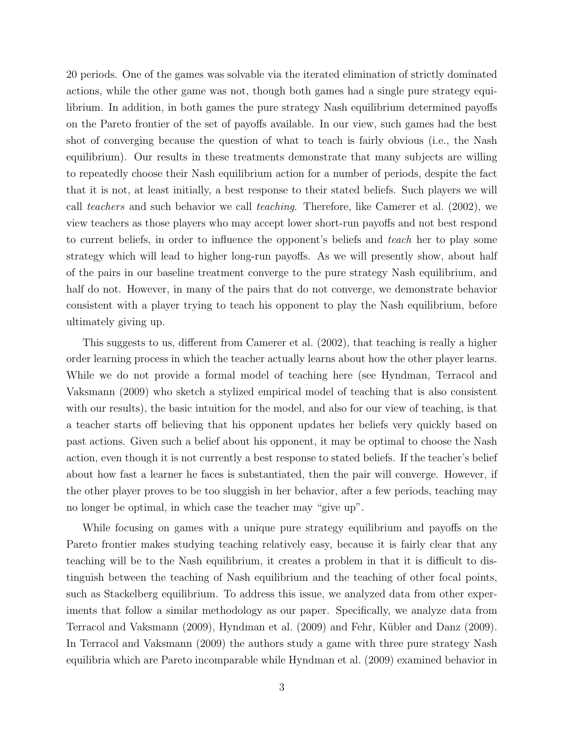20 periods. One of the games was solvable via the iterated elimination of strictly dominated actions, while the other game was not, though both games had a single pure strategy equilibrium. In addition, in both games the pure strategy Nash equilibrium determined payoffs on the Pareto frontier of the set of payoffs available. In our view, such games had the best shot of converging because the question of what to teach is fairly obvious (i.e., the Nash equilibrium). Our results in these treatments demonstrate that many subjects are willing to repeatedly choose their Nash equilibrium action for a number of periods, despite the fact that it is not, at least initially, a best response to their stated beliefs. Such players we will call teachers and such behavior we call teaching. Therefore, like [Camerer et al.](#page-33-2) [\(2002\)](#page-33-2), we view teachers as those players who may accept lower short-run payoffs and not best respond to current beliefs, in order to influence the opponent's beliefs and teach her to play some strategy which will lead to higher long-run payoffs. As we will presently show, about half of the pairs in our baseline treatment converge to the pure strategy Nash equilibrium, and half do not. However, in many of the pairs that do not converge, we demonstrate behavior consistent with a player trying to teach his opponent to play the Nash equilibrium, before ultimately giving up.

This suggests to us, different from [Camerer et al.](#page-33-2) [\(2002\)](#page-33-2), that teaching is really a higher order learning process in which the teacher actually learns about how the other player learns. While we do not provide a formal model of teaching here (see [Hyndman, Terracol and](#page-34-4) [Vaksmann](#page-34-4) [\(2009\)](#page-34-4) who sketch a stylized empirical model of teaching that is also consistent with our results), the basic intuition for the model, and also for our view of teaching, is that a teacher starts off believing that his opponent updates her beliefs very quickly based on past actions. Given such a belief about his opponent, it may be optimal to choose the Nash action, even though it is not currently a best response to stated beliefs. If the teacher's belief about how fast a learner he faces is substantiated, then the pair will converge. However, if the other player proves to be too sluggish in her behavior, after a few periods, teaching may no longer be optimal, in which case the teacher may "give up".

While focusing on games with a unique pure strategy equilibrium and payoffs on the Pareto frontier makes studying teaching relatively easy, because it is fairly clear that any teaching will be to the Nash equilibrium, it creates a problem in that it is difficult to distinguish between the teaching of Nash equilibrium and the teaching of other focal points, such as Stackelberg equilibrium. To address this issue, we analyzed data from other experiments that follow a similar methodology as our paper. Specifically, we analyze data from [Terracol and Vaksmann](#page-35-2) [\(2009\)](#page-34-5), [Hyndman et al.](#page-34-4) (2009) and Fehr, Kübler and Danz (2009). In [Terracol and Vaksmann](#page-35-2) [\(2009\)](#page-35-2) the authors study a game with three pure strategy Nash equilibria which are Pareto incomparable while [Hyndman et al.](#page-34-4) [\(2009\)](#page-34-4) examined behavior in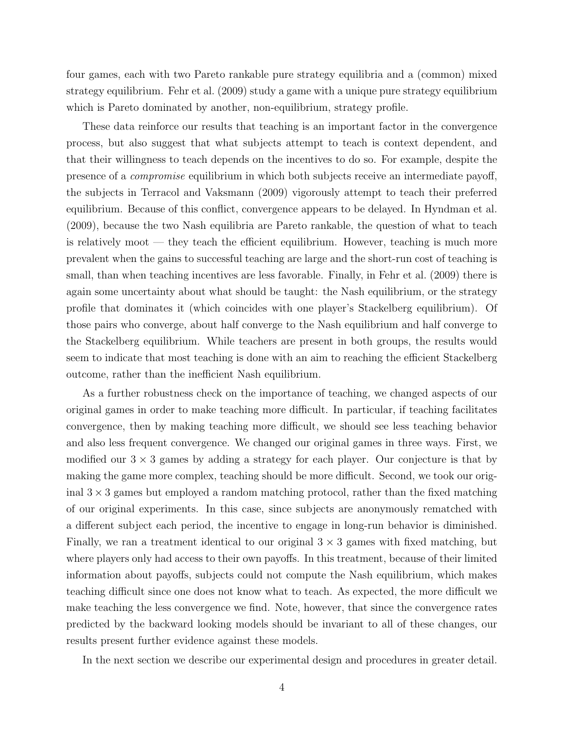four games, each with two Pareto rankable pure strategy equilibria and a (common) mixed strategy equilibrium. [Fehr et al.](#page-34-5) [\(2009\)](#page-34-5) study a game with a unique pure strategy equilibrium which is Pareto dominated by another, non-equilibrium, strategy profile.

These data reinforce our results that teaching is an important factor in the convergence process, but also suggest that what subjects attempt to teach is context dependent, and that their willingness to teach depends on the incentives to do so. For example, despite the presence of a compromise equilibrium in which both subjects receive an intermediate payoff, the subjects in [Terracol and Vaksmann](#page-35-2) [\(2009\)](#page-35-2) vigorously attempt to teach their preferred equilibrium. Because of this conflict, convergence appears to be delayed. In [Hyndman et al.](#page-34-4) [\(2009\)](#page-34-4), because the two Nash equilibria are Pareto rankable, the question of what to teach is relatively moot  $-$  they teach the efficient equilibrium. However, teaching is much more prevalent when the gains to successful teaching are large and the short-run cost of teaching is small, than when teaching incentives are less favorable. Finally, in [Fehr et al.](#page-34-5) [\(2009\)](#page-34-5) there is again some uncertainty about what should be taught: the Nash equilibrium, or the strategy profile that dominates it (which coincides with one player's Stackelberg equilibrium). Of those pairs who converge, about half converge to the Nash equilibrium and half converge to the Stackelberg equilibrium. While teachers are present in both groups, the results would seem to indicate that most teaching is done with an aim to reaching the efficient Stackelberg outcome, rather than the inefficient Nash equilibrium.

As a further robustness check on the importance of teaching, we changed aspects of our original games in order to make teaching more difficult. In particular, if teaching facilitates convergence, then by making teaching more difficult, we should see less teaching behavior and also less frequent convergence. We changed our original games in three ways. First, we modified our  $3 \times 3$  games by adding a strategy for each player. Our conjecture is that by making the game more complex, teaching should be more difficult. Second, we took our original  $3 \times 3$  games but employed a random matching protocol, rather than the fixed matching of our original experiments. In this case, since subjects are anonymously rematched with a different subject each period, the incentive to engage in long-run behavior is diminished. Finally, we ran a treatment identical to our original  $3 \times 3$  games with fixed matching, but where players only had access to their own payoffs. In this treatment, because of their limited information about payoffs, subjects could not compute the Nash equilibrium, which makes teaching difficult since one does not know what to teach. As expected, the more difficult we make teaching the less convergence we find. Note, however, that since the convergence rates predicted by the backward looking models should be invariant to all of these changes, our results present further evidence against these models.

In the next section we describe our experimental design and procedures in greater detail.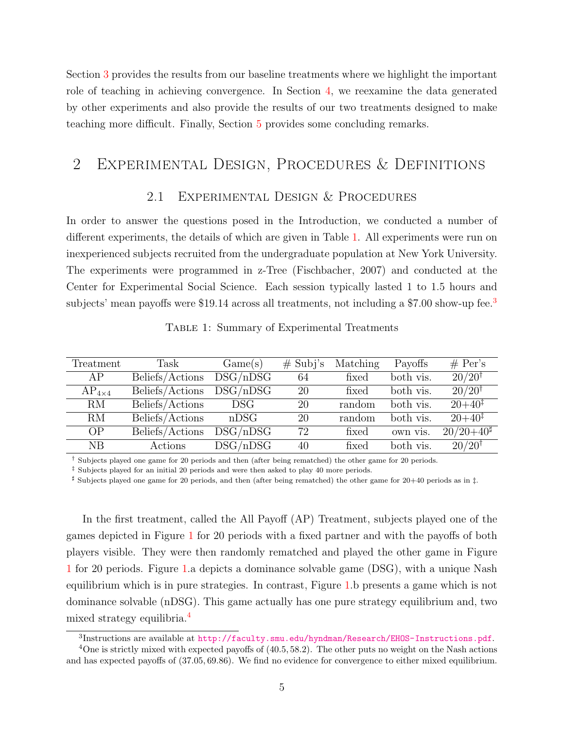Section [3](#page-7-0) provides the results from our baseline treatments where we highlight the important role of teaching in achieving convergence. In Section [4,](#page-24-0) we reexamine the data generated by other experiments and also provide the results of our two treatments designed to make teaching more difficult. Finally, Section [5](#page-32-0) provides some concluding remarks.

# 2 Experimental Design, Procedures & Definitions

## 2.1 Experimental Design & Procedures

In order to answer the questions posed in the Introduction, we conducted a number of different experiments, the details of which are given in Table [1.](#page-4-0) All experiments were run on inexperienced subjects recruited from the undergraduate population at New York University. The experiments were programmed in z-Tree [\(Fischbacher,](#page-34-6) [2007\)](#page-34-6) and conducted at the Center for Experimental Social Science. Each session typically lasted 1 to 1.5 hours and subjects' mean payoffs were \$19.14 across all treatments, not including a \$7.00 show-up fee.<sup>[3](#page-4-1)</sup>

<span id="page-4-0"></span>

| Treatment       | Task            | Game(s)               | $#$ Subj's | Matching | Payoffs   | # Per's             |
|-----------------|-----------------|-----------------------|------------|----------|-----------|---------------------|
| AP              | Beliefs/Actions | $DSG/n\overline{DSG}$ | 64         | fixed    | both vis. | $20/20^{\dagger}$   |
| $AP_{4\times4}$ | Beliefs/Actions | DSG/nDSG              | 20         | fixed    | both vis. | $20/20^{\dagger}$   |
| RM              | Beliefs/Actions | DSG                   | 20         | random   | both vis. | $20+40^{\ddagger}$  |
| RM              | Beliefs/Actions | nDSG                  | 20         | random   | both vis. | $20+40^{\ddagger}$  |
| OΡ              | Beliefs/Actions | DSG/nDSG              | 72         | fixed    | own vis.  | $20/20+40^{\sharp}$ |
| <b>NB</b>       | Actions         | DSG/nDSG              | 40         | fixed    | both vis. | $20/20^{\dagger}$   |

Table 1: Summary of Experimental Treatments

† Subjects played one game for 20 periods and then (after being rematched) the other game for 20 periods.

‡ Subjects played for an initial 20 periods and were then asked to play 40 more periods.

] Subjects played one game for 20 periods, and then (after being rematched) the other game for 20+40 periods as in ‡.

In the first treatment, called the All Payoff (AP) Treatment, subjects played one of the games depicted in Figure [1](#page-5-0) for 20 periods with a fixed partner and with the payoffs of both players visible. They were then randomly rematched and played the other game in Figure [1](#page-5-0) for 20 periods. Figure [1.](#page-5-0)a depicts a dominance solvable game (DSG), with a unique Nash equilibrium which is in pure strategies. In contrast, Figure [1.](#page-5-0)b presents a game which is not dominance solvable (nDSG). This game actually has one pure strategy equilibrium and, two mixed strategy equilibria.[4](#page-4-2)

<span id="page-4-2"></span><span id="page-4-1"></span> $^3$ Instructions are available at <code><http://faculty.smu.edu/hyndman/Research/EHOS-Instructions.pdf>.</code>

<sup>&</sup>lt;sup>4</sup>One is strictly mixed with expected payoffs of (40.5, 58.2). The other puts no weight on the Nash actions and has expected payoffs of (37.05, 69.86). We find no evidence for convergence to either mixed equilibrium.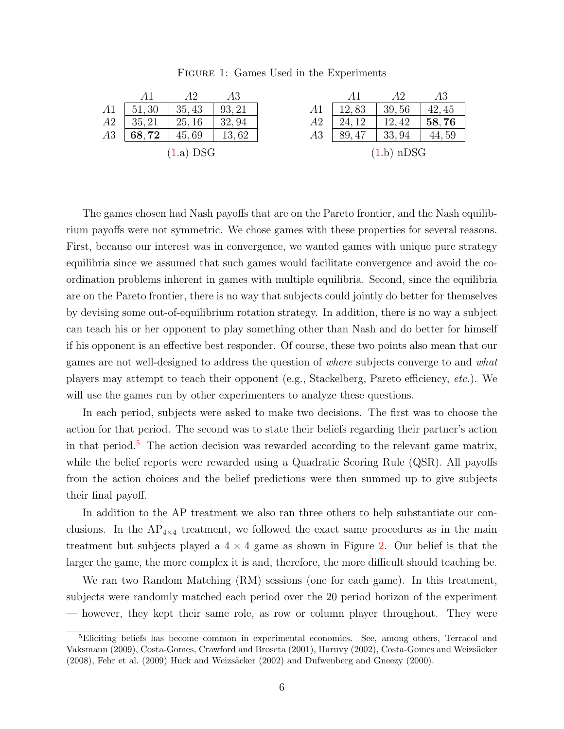<span id="page-5-0"></span>

|    |        | A2          | A3     |    | Αl         | A2           | A3     |
|----|--------|-------------|--------|----|------------|--------------|--------|
| A1 | 51,30  | 35, 43      | 93, 21 |    | 12,83      | 39,56        | 42, 45 |
| A2 | 35, 21 | 25, 16      | 32, 94 | А2 | 19         | 12, 42       | 58,76  |
| A3 | 68.72  | 45,69       | 13,62  | A3 | 89.<br>.47 | 33, 94       | 44,59  |
|    |        | $(1.a)$ DSG |        |    |            | $(1.b)$ nDSG |        |

Figure 1: Games Used in the Experiments

The games chosen had Nash payoffs that are on the Pareto frontier, and the Nash equilibrium payoffs were not symmetric. We chose games with these properties for several reasons. First, because our interest was in convergence, we wanted games with unique pure strategy equilibria since we assumed that such games would facilitate convergence and avoid the coordination problems inherent in games with multiple equilibria. Second, since the equilibria are on the Pareto frontier, there is no way that subjects could jointly do better for themselves by devising some out-of-equilibrium rotation strategy. In addition, there is no way a subject can teach his or her opponent to play something other than Nash and do better for himself if his opponent is an effective best responder. Of course, these two points also mean that our games are not well-designed to address the question of where subjects converge to and what players may attempt to teach their opponent (e.g., Stackelberg, Pareto efficiency, etc.). We will use the games run by other experimenters to analyze these questions.

In each period, subjects were asked to make two decisions. The first was to choose the action for that period. The second was to state their beliefs regarding their partner's action in that period.<sup>[5](#page-5-1)</sup> The action decision was rewarded according to the relevant game matrix, while the belief reports were rewarded using a Quadratic Scoring Rule (QSR). All payoffs from the action choices and the belief predictions were then summed up to give subjects their final payoff.

In addition to the AP treatment we also ran three others to help substantiate our conclusions. In the  $AP_{4\times4}$  treatment, we followed the exact same procedures as in the main treatment but subjects played a  $4 \times 4$  game as shown in Figure [2.](#page-6-0) Our belief is that the larger the game, the more complex it is and, therefore, the more difficult should teaching be.

We ran two Random Matching (RM) sessions (one for each game). In this treatment, subjects were randomly matched each period over the 20 period horizon of the experiment however, they kept their same role, as row or column player throughout. They were

<span id="page-5-1"></span><sup>&</sup>lt;sup>5</sup>Eliciting beliefs has become common in experimental economics. See, among others, [Terracol and](#page-35-2) [Vaksmann](#page-35-2) [\(2009\)](#page-35-2), [Costa-Gomes, Crawford and Broseta](#page-33-5) [\(2001\)](#page-33-5), [Haruvy](#page-34-7) [\(2002\)](#page-34-7), Costa-Gomes and Weizsäcker  $(2008)$ , [Fehr et al.](#page-34-5)  $(2009)$  Huck and Weizsäcker  $(2002)$  and [Dufwenberg and Gneezy](#page-34-9)  $(2000)$ .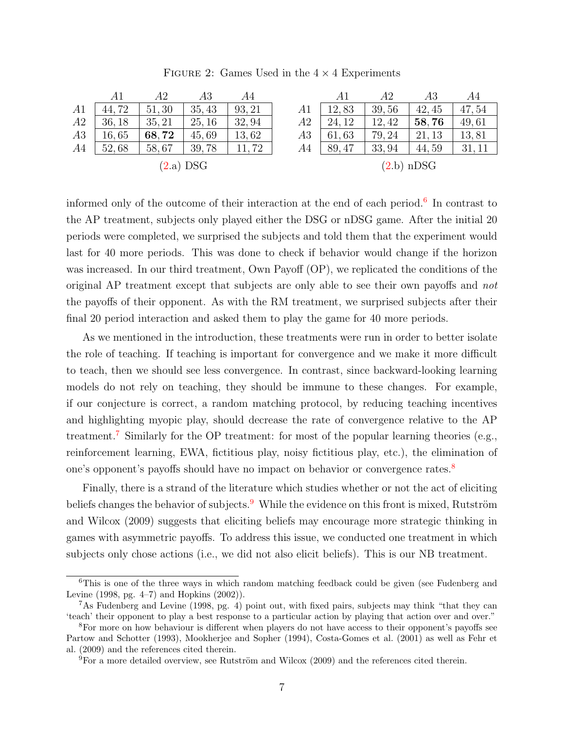<span id="page-6-0"></span>

|    | Αl     | А2     | АЗ          | Α4     |    |        |        | АЗ           | A4    |
|----|--------|--------|-------------|--------|----|--------|--------|--------------|-------|
| A1 | 44,72  | 51,30  | 35, 43      | 93, 21 | A1 | 12,83  | 39,56  | 42, 45       | 47,54 |
| A2 | 36, 18 | 35, 21 | 25, 16      | 32,94  | A2 | 24, 12 | 12,42  | 58,76        | 49,61 |
| A3 | 16,65  | 68,72  | 45,69       | 13,62  | A3 | 61,63  | 79, 24 | 21.<br>13    | 13,81 |
| A4 | 52,68  | 58,67  | 39,78       | 11,72  | А4 | 89, 47 | 33, 94 | 44,59        |       |
|    |        |        | $(2.a)$ DSG |        |    |        |        | $(2.b)$ nDSG |       |

FIGURE 2: Games Used in the  $4 \times 4$  Experiments

informed only of the outcome of their interaction at the end of each period.<sup>[6](#page-6-1)</sup> In contrast to the AP treatment, subjects only played either the DSG or nDSG game. After the initial 20 periods were completed, we surprised the subjects and told them that the experiment would last for 40 more periods. This was done to check if behavior would change if the horizon was increased. In our third treatment, Own Payoff (OP), we replicated the conditions of the original AP treatment except that subjects are only able to see their own payoffs and not the payoffs of their opponent. As with the RM treatment, we surprised subjects after their final 20 period interaction and asked them to play the game for 40 more periods.

As we mentioned in the introduction, these treatments were run in order to better isolate the role of teaching. If teaching is important for convergence and we make it more difficult to teach, then we should see less convergence. In contrast, since backward-looking learning models do not rely on teaching, they should be immune to these changes. For example, if our conjecture is correct, a random matching protocol, by reducing teaching incentives and highlighting myopic play, should decrease the rate of convergence relative to the AP treatment.[7](#page-6-2) Similarly for the OP treatment: for most of the popular learning theories (e.g., reinforcement learning, EWA, fictitious play, noisy fictitious play, etc.), the elimination of one's opponent's payoffs should have no impact on behavior or convergence rates.<sup>[8](#page-6-3)</sup>

Finally, there is a strand of the literature which studies whether or not the act of eliciting beliefs changes the behavior of subjects.<sup>[9](#page-6-4)</sup> While the evidence on this front is mixed, Rutström [and Wilcox](#page-34-10) [\(2009\)](#page-34-10) suggests that eliciting beliefs may encourage more strategic thinking in games with asymmetric payoffs. To address this issue, we conducted one treatment in which subjects only chose actions (i.e., we did not also elicit beliefs). This is our NB treatment.

<span id="page-6-1"></span><sup>&</sup>lt;sup>6</sup>This is one of the three ways in which random matching feedback could be given (see [Fudenberg and](#page-34-0) [Levine](#page-34-0) [\(1998,](#page-34-0) pg. 4–7) and [Hopkins](#page-34-1) [\(2002\)](#page-34-1)).

<span id="page-6-2"></span><sup>7</sup>As [Fudenberg and Levine](#page-34-0) [\(1998,](#page-34-0) pg. 4) point out, with fixed pairs, subjects may think "that they can 'teach' their opponent to play a best response to a particular action by playing that action over and over."

<span id="page-6-3"></span><sup>&</sup>lt;sup>8</sup>For more on how behaviour is different when players do not have access to their opponent's payoffs see [Partow and Schotter](#page-34-11) [\(1993\)](#page-34-11), [Mookherjee and Sopher](#page-34-12) [\(1994\)](#page-34-12), [Costa-Gomes et al.](#page-33-5) [\(2001\)](#page-33-5) as well as [Fehr et](#page-34-5) [al.](#page-34-5) [\(2009\)](#page-34-5) and the references cited therein.

<span id="page-6-4"></span> $9$ For a more detailed overview, see Rutström and Wilcox [\(2009\)](#page-34-10) and the references cited therein.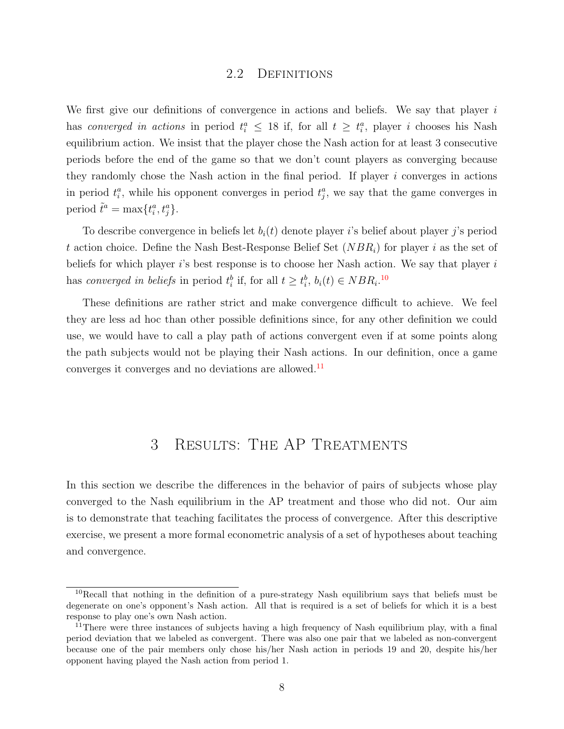#### 2.2 DEFINITIONS

We first give our definitions of convergence in actions and beliefs. We say that player  $i$ has converged in actions in period  $t_i^a \leq 18$  if, for all  $t \geq t_i^a$ , player i chooses his Nash equilibrium action. We insist that the player chose the Nash action for at least 3 consecutive periods before the end of the game so that we don't count players as converging because they randomly chose the Nash action in the final period. If player  $i$  converges in actions in period  $t_i^a$ , while his opponent converges in period  $t_j^a$ , we say that the game converges in period  $\tilde{t}^a = \max\{t_i^a, t_j^a\}.$ 

To describe convergence in beliefs let  $b_i(t)$  denote player i's belief about player j's period t action choice. Define the Nash Best-Response Belief Set  $(NBR_i)$  for player i as the set of beliefs for which player  $i$ 's best response is to choose her Nash action. We say that player  $i$ has converged in beliefs in period  $t_i^b$  if, for all  $t \geq t_i^b$ ,  $b_i(t) \in NBR_i$ .<sup>[10](#page-7-1)</sup>

These definitions are rather strict and make convergence difficult to achieve. We feel they are less ad hoc than other possible definitions since, for any other definition we could use, we would have to call a play path of actions convergent even if at some points along the path subjects would not be playing their Nash actions. In our definition, once a game converges it converges and no deviations are allowed.<sup>[11](#page-7-2)</sup>

# 3 Results: The AP Treatments

<span id="page-7-0"></span>In this section we describe the differences in the behavior of pairs of subjects whose play converged to the Nash equilibrium in the AP treatment and those who did not. Our aim is to demonstrate that teaching facilitates the process of convergence. After this descriptive exercise, we present a more formal econometric analysis of a set of hypotheses about teaching and convergence.

<span id="page-7-1"></span><sup>10</sup>Recall that nothing in the definition of a pure-strategy Nash equilibrium says that beliefs must be degenerate on one's opponent's Nash action. All that is required is a set of beliefs for which it is a best response to play one's own Nash action.

<span id="page-7-2"></span><sup>&</sup>lt;sup>11</sup>There were three instances of subjects having a high frequency of Nash equilibrium play, with a final period deviation that we labeled as convergent. There was also one pair that we labeled as non-convergent because one of the pair members only chose his/her Nash action in periods 19 and 20, despite his/her opponent having played the Nash action from period 1.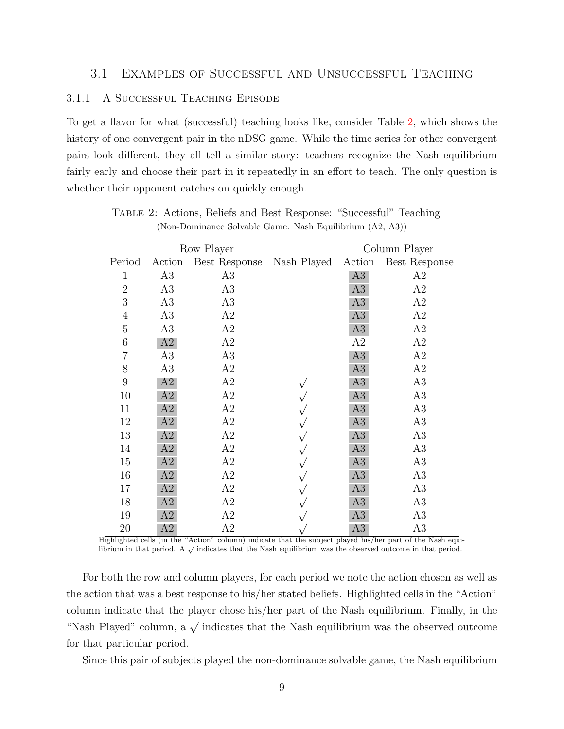#### 3.1.1 A Successful Teaching Episode

To get a flavor for what (successful) teaching looks like, consider Table [2,](#page-8-0) which shows the history of one convergent pair in the nDSG game. While the time series for other convergent pairs look different, they all tell a similar story: teachers recognize the Nash equilibrium fairly early and choose their part in it repeatedly in an effort to teach. The only question is whether their opponent catches on quickly enough.

|                |          | Row Player    |             |        | Column Player |
|----------------|----------|---------------|-------------|--------|---------------|
| Period         | Action   | Best Response | Nash Played | Action | Best Response |
| $\mathbf 1$    | A3       | A3            |             | A3     | A2            |
| $\overline{2}$ | A3       | A3            |             | A3     | A2            |
| 3              | A3       | A3            |             | A3     | A2            |
| $\overline{4}$ | A3       | A2            |             | A3     | A2            |
| $\overline{5}$ | A3       | A2            |             | A3     | A2            |
| $\,6$          | A2       | A2            |             | A2     | A2            |
| $\overline{7}$ | A3       | A3            |             | A3     | A2            |
| 8              | A3       | A2            |             | A3     | A2            |
| 9              | A2       | A2            |             | A3     | A3            |
| 10             | A2       | A2            |             | A3     | A3            |
| 11             | A2       | A2            |             | A3     | A3            |
| 12             | A2       | A2            |             | A3     | A3            |
| 13             | A2       | A2            |             | A3     | A3            |
| 14             | A2       | A2            |             | A3     | A3            |
| 15             | A2       | A2            |             | A3     | A3            |
| 16             | A2       | A2            |             | A3     | A3            |
| 17             | A2       | A2            |             | A3     | A3            |
| 18             | A2       | A2            |             | A3     | A3            |
| 19             | A2       | A2            |             | A3     | A3            |
| $20\,$         | $\rm A2$ | A2            |             | A3     | A3            |

<span id="page-8-0"></span>Table 2: Actions, Beliefs and Best Response: "Successful" Teaching (Non-Dominance Solvable Game: Nash Equilibrium (A2, A3))

Highlighted cells (in the "Action" column) indicate that the subject played his/her part of the Nash equirigninghied cens (in the Action column) indicate that the subject played ins/her part of the Nash equilibrium in that period.<br>Iibrium in that period. A  $\sqrt$  indicates that the Nash equilibrium was the observed outcome in

For both the row and column players, for each period we note the action chosen as well as the action that was a best response to his/her stated beliefs. Highlighted cells in the "Action" column indicate that the player chose his/her part of the Nash equilibrium. Finally, in the "Nash Played" column, a  $\sqrt$  indicates that the Nash equilibrium was the observed outcome for that particular period.

Since this pair of subjects played the non-dominance solvable game, the Nash equilibrium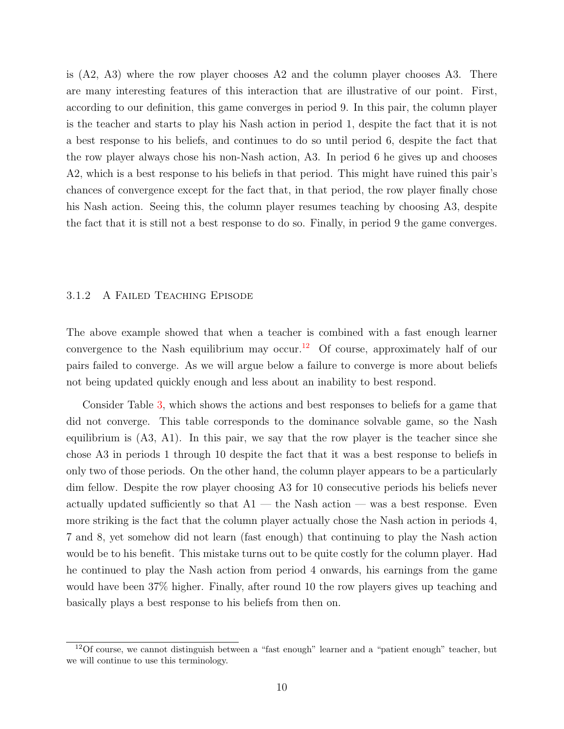is (A2, A3) where the row player chooses A2 and the column player chooses A3. There are many interesting features of this interaction that are illustrative of our point. First, according to our definition, this game converges in period 9. In this pair, the column player is the teacher and starts to play his Nash action in period 1, despite the fact that it is not a best response to his beliefs, and continues to do so until period 6, despite the fact that the row player always chose his non-Nash action, A3. In period 6 he gives up and chooses A2, which is a best response to his beliefs in that period. This might have ruined this pair's chances of convergence except for the fact that, in that period, the row player finally chose his Nash action. Seeing this, the column player resumes teaching by choosing A3, despite the fact that it is still not a best response to do so. Finally, in period 9 the game converges.

#### 3.1.2 A Failed Teaching Episode

The above example showed that when a teacher is combined with a fast enough learner convergence to the Nash equilibrium may occur.<sup>[12](#page-9-0)</sup> Of course, approximately half of our pairs failed to converge. As we will argue below a failure to converge is more about beliefs not being updated quickly enough and less about an inability to best respond.

Consider Table [3,](#page-10-0) which shows the actions and best responses to beliefs for a game that did not converge. This table corresponds to the dominance solvable game, so the Nash equilibrium is (A3, A1). In this pair, we say that the row player is the teacher since she chose A3 in periods 1 through 10 despite the fact that it was a best response to beliefs in only two of those periods. On the other hand, the column player appears to be a particularly dim fellow. Despite the row player choosing A3 for 10 consecutive periods his beliefs never actually updated sufficiently so that  $A1$  — the Nash action — was a best response. Even more striking is the fact that the column player actually chose the Nash action in periods 4, 7 and 8, yet somehow did not learn (fast enough) that continuing to play the Nash action would be to his benefit. This mistake turns out to be quite costly for the column player. Had he continued to play the Nash action from period 4 onwards, his earnings from the game would have been 37% higher. Finally, after round 10 the row players gives up teaching and basically plays a best response to his beliefs from then on.

<span id="page-9-0"></span><sup>12</sup>Of course, we cannot distinguish between a "fast enough" learner and a "patient enough" teacher, but we will continue to use this terminology.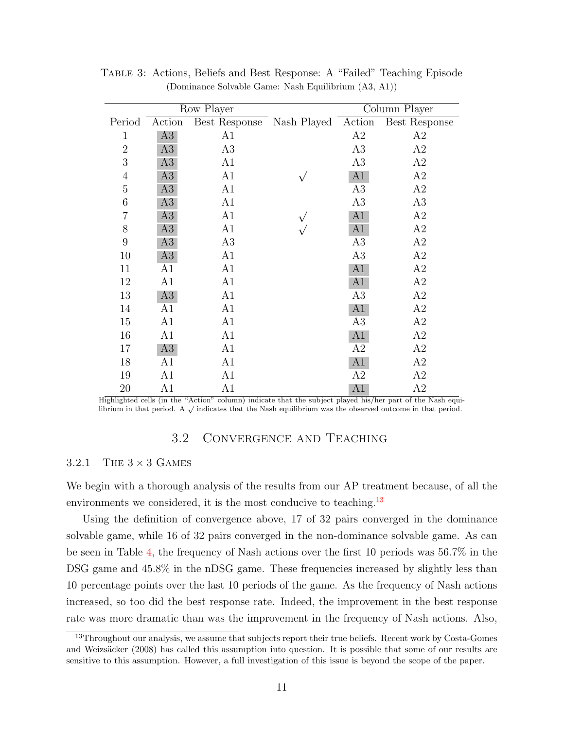|                  |                | Row Player    |             |        | Column Player |
|------------------|----------------|---------------|-------------|--------|---------------|
| Period           | Action         | Best Response | Nash Played | Action | Best Response |
| $\mathbf{1}$     | A3             | A1            |             | A2     | A2            |
| $\overline{2}$   | A3             | A3            |             | A3     | A2            |
| 3                | A3             | A1            |             | A3     | A2            |
| 4                | A3             | A1            |             | A1     | A2            |
| $\overline{5}$   | A3             | A1            |             | A3     | A2            |
| $\boldsymbol{6}$ | A3             | A1            |             | A3     | A3            |
| $\overline{7}$   | A3             | A1            |             | A1     | A2            |
| 8                | A3             | A1            |             | A1     | A2            |
| 9                | A3             | A3            |             | A3     | A2            |
| 10               | A3             | A1            |             | A3     | A2            |
| 11               | A1             | A1            |             | A1     | A2            |
| 12               | A1             | A1            |             | A1     | A2            |
| 13               | A3             | A1            |             | A3     | A2            |
| 14               | A1             | A1            |             | A1     | A2            |
| 15               | A1             | A1            |             | A3     | A2            |
| 16               | A1             | A1            |             | A1     | A2            |
| 17               | A3             | A1            |             | A2     | A2            |
| 18               | A <sub>1</sub> | A1            |             | A1     | A2            |
| 19               | A1             | A1            |             | A2     | A2            |
| 20               | A1             | A1            |             | A1     | A2            |

<span id="page-10-0"></span>Table 3: Actions, Beliefs and Best Response: A "Failed" Teaching Episode (Dominance Solvable Game: Nash Equilibrium (A3, A1))

Highlighted cells (in the "Action" column) indicate that the subject played his/her part of the Nash equi-Inginighted cens (in the Action column) indicate that the subject played ins/lier part of the Nash equilibrium in that period.

## 3.2 Convergence and Teaching

#### 3.2.1 THE  $3 \times 3$  GAMES

We begin with a thorough analysis of the results from our AP treatment because, of all the environments we considered, it is the most conducive to teaching.<sup>[13](#page-10-1)</sup>

Using the definition of convergence above, 17 of 32 pairs converged in the dominance solvable game, while 16 of 32 pairs converged in the non-dominance solvable game. As can be seen in Table [4,](#page-11-0) the frequency of Nash actions over the first 10 periods was 56.7% in the DSG game and  $45.8\%$  in the nDSG game. These frequencies increased by slightly less than 10 percentage points over the last 10 periods of the game. As the frequency of Nash actions increased, so too did the best response rate. Indeed, the improvement in the best response rate was more dramatic than was the improvement in the frequency of Nash actions. Also,

<span id="page-10-1"></span><sup>&</sup>lt;sup>13</sup>Throughout our analysis, we assume that subjects report their true beliefs. Recent work by [Costa-Gomes](#page-33-6) and Weizsäcker [\(2008\)](#page-33-6) has called this assumption into question. It is possible that some of our results are sensitive to this assumption. However, a full investigation of this issue is beyond the scope of the paper.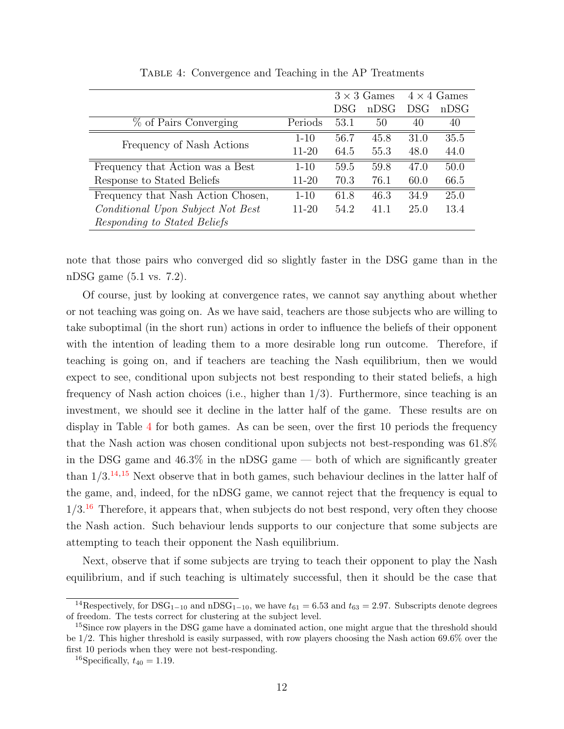<span id="page-11-0"></span>

|                                    |          |      | $3 \times 3$ Games |      | $4 \times 4$ Games |
|------------------------------------|----------|------|--------------------|------|--------------------|
|                                    |          | DSG  | nDSG               | DSG  | nDSG               |
| % of Pairs Converging              | Periods  | 53.1 | 50                 | 40   | 40                 |
| Frequency of Nash Actions          | $1 - 10$ | 56.7 | 45.8               | 31.0 | 35.5               |
|                                    | 11-20    | 64.5 | 55.3               | 48.0 | 44.0               |
| Frequency that Action was a Best   | $1 - 10$ | 59.5 | 59.8               | 47.0 | 50.0               |
| Response to Stated Beliefs         | 11-20    | 70.3 | 76.1               | 60.0 | 66.5               |
| Frequency that Nash Action Chosen, | $1 - 10$ | 61.8 | 46.3               | 34.9 | 25.0               |
| Conditional Upon Subject Not Best  | 11-20    | 54.2 | 41.1               | 25.0 | 13.4               |
| Responding to Stated Beliefs       |          |      |                    |      |                    |

Table 4: Convergence and Teaching in the AP Treatments

note that those pairs who converged did so slightly faster in the DSG game than in the nDSG game (5.1 vs. 7.2).

Of course, just by looking at convergence rates, we cannot say anything about whether or not teaching was going on. As we have said, teachers are those subjects who are willing to take suboptimal (in the short run) actions in order to influence the beliefs of their opponent with the intention of leading them to a more desirable long run outcome. Therefore, if teaching is going on, and if teachers are teaching the Nash equilibrium, then we would expect to see, conditional upon subjects not best responding to their stated beliefs, a high frequency of Nash action choices (i.e., higher than  $1/3$ ). Furthermore, since teaching is an investment, we should see it decline in the latter half of the game. These results are on display in Table [4](#page-11-0) for both games. As can be seen, over the first 10 periods the frequency that the Nash action was chosen conditional upon subjects not best-responding was 61.8% in the DSG game and 46.3% in the nDSG game — both of which are significantly greater than  $1/3$ .<sup>[14](#page-11-1),[15](#page-11-2)</sup> Next observe that in both games, such behaviour declines in the latter half of the game, and, indeed, for the nDSG game, we cannot reject that the frequency is equal to  $1/3$ .<sup>[16](#page-11-3)</sup> Therefore, it appears that, when subjects do not best respond, very often they choose the Nash action. Such behaviour lends supports to our conjecture that some subjects are attempting to teach their opponent the Nash equilibrium.

Next, observe that if some subjects are trying to teach their opponent to play the Nash equilibrium, and if such teaching is ultimately successful, then it should be the case that

<span id="page-11-1"></span><sup>&</sup>lt;sup>14</sup>Respectively, for DSG<sub>1−10</sub> and nDSG<sub>1−10</sub>, we have  $t_{61} = 6.53$  and  $t_{63} = 2.97$ . Subscripts denote degrees of freedom. The tests correct for clustering at the subject level.

<span id="page-11-2"></span><sup>&</sup>lt;sup>15</sup>Since row players in the DSG game have a dominated action, one might argue that the threshold should be 1/2. This higher threshold is easily surpassed, with row players choosing the Nash action 69.6% over the first 10 periods when they were not best-responding.

<span id="page-11-3"></span><sup>&</sup>lt;sup>16</sup>Specifically,  $t_{40} = 1.19$ .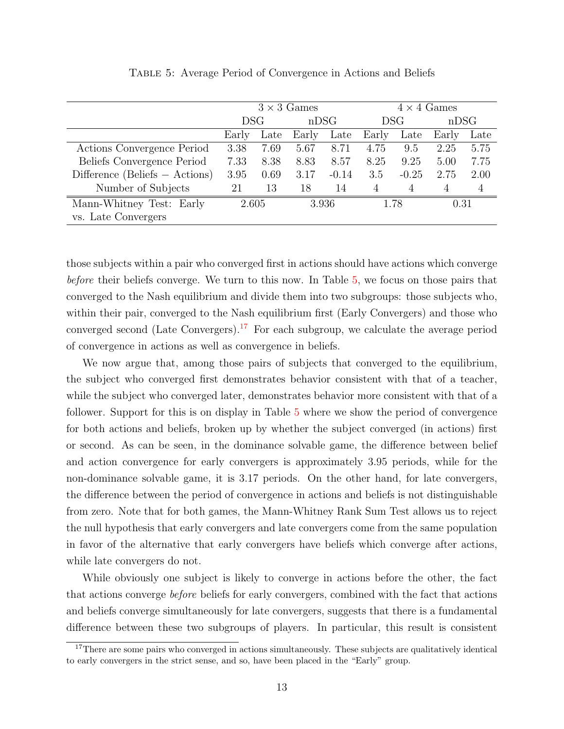<span id="page-12-0"></span>

|                                  |       |      | $3 \times 3$ Games |         |       |                | $4 \times 4$ Games |                |
|----------------------------------|-------|------|--------------------|---------|-------|----------------|--------------------|----------------|
|                                  | DSG   |      | nDSG               |         | DSG   |                | nDSG               |                |
|                                  | Early | Late | Early              | Late    | Early | Late           | Early              | Late           |
| Actions Convergence Period       | 3.38  | 7.69 | 5.67               | 8.71    | 4.75  | 9.5            | 2.25               | 5.75           |
| Beliefs Convergence Period       | 7.33  | 8.38 | 8.83               | 8.57    | 8.25  | 9.25           | 5.00               | 7.75           |
| Difference (Beliefs $-$ Actions) | 3.95  | 0.69 | 3.17               | $-0.14$ | 3.5   | $-0.25$        | 2.75               | 2.00           |
| Number of Subjects               | 21    | 13   | 18                 | 14      | 4     | $\overline{4}$ | $\overline{4}$     | $\overline{4}$ |
| Mann-Whitney Test: Early         | 2.605 |      | 3.936              |         | 1.78  |                | 0.31               |                |
| vs. Late Convergers              |       |      |                    |         |       |                |                    |                |

Table 5: Average Period of Convergence in Actions and Beliefs

those subjects within a pair who converged first in actions should have actions which converge before their beliefs converge. We turn to this now. In Table [5,](#page-12-0) we focus on those pairs that converged to the Nash equilibrium and divide them into two subgroups: those subjects who, within their pair, converged to the Nash equilibrium first (Early Convergers) and those who converged second (Late Convergers).<sup>[17](#page-12-1)</sup> For each subgroup, we calculate the average period of convergence in actions as well as convergence in beliefs.

We now argue that, among those pairs of subjects that converged to the equilibrium, the subject who converged first demonstrates behavior consistent with that of a teacher, while the subject who converged later, demonstrates behavior more consistent with that of a follower. Support for this is on display in Table [5](#page-12-0) where we show the period of convergence for both actions and beliefs, broken up by whether the subject converged (in actions) first or second. As can be seen, in the dominance solvable game, the difference between belief and action convergence for early convergers is approximately 3.95 periods, while for the non-dominance solvable game, it is 3.17 periods. On the other hand, for late convergers, the difference between the period of convergence in actions and beliefs is not distinguishable from zero. Note that for both games, the Mann-Whitney Rank Sum Test allows us to reject the null hypothesis that early convergers and late convergers come from the same population in favor of the alternative that early convergers have beliefs which converge after actions, while late convergers do not.

While obviously one subject is likely to converge in actions before the other, the fact that actions converge before beliefs for early convergers, combined with the fact that actions and beliefs converge simultaneously for late convergers, suggests that there is a fundamental difference between these two subgroups of players. In particular, this result is consistent

<span id="page-12-1"></span> $17$ There are some pairs who converged in actions simultaneously. These subjects are qualitatively identical to early convergers in the strict sense, and so, have been placed in the "Early" group.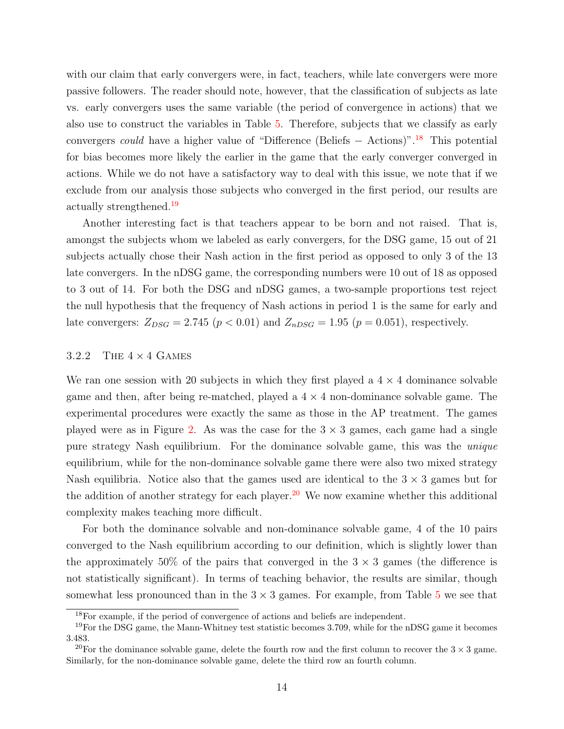with our claim that early convergers were, in fact, teachers, while late convergers were more passive followers. The reader should note, however, that the classification of subjects as late vs. early convergers uses the same variable (the period of convergence in actions) that we also use to construct the variables in Table [5.](#page-12-0) Therefore, subjects that we classify as early convergers could have a higher value of "Difference (Beliefs − Actions)".[18](#page-13-0) This potential for bias becomes more likely the earlier in the game that the early converger converged in actions. While we do not have a satisfactory way to deal with this issue, we note that if we exclude from our analysis those subjects who converged in the first period, our results are actually strengthened.<sup>[19](#page-13-1)</sup>

Another interesting fact is that teachers appear to be born and not raised. That is, amongst the subjects whom we labeled as early convergers, for the DSG game, 15 out of 21 subjects actually chose their Nash action in the first period as opposed to only 3 of the 13 late convergers. In the nDSG game, the corresponding numbers were 10 out of 18 as opposed to 3 out of 14. For both the DSG and nDSG games, a two-sample proportions test reject the null hypothesis that the frequency of Nash actions in period 1 is the same for early and late convergers:  $Z_{DSG} = 2.745$  ( $p < 0.01$ ) and  $Z_{nDSG} = 1.95$  ( $p = 0.051$ ), respectively.

#### 3.2.2 THE  $4 \times 4$  GAMES

We ran one session with 20 subjects in which they first played a  $4 \times 4$  dominance solvable game and then, after being re-matched, played a  $4 \times 4$  non-dominance solvable game. The experimental procedures were exactly the same as those in the AP treatment. The games played were as in Figure [2.](#page-6-0) As was the case for the  $3 \times 3$  games, each game had a single pure strategy Nash equilibrium. For the dominance solvable game, this was the unique equilibrium, while for the non-dominance solvable game there were also two mixed strategy Nash equilibria. Notice also that the games used are identical to the  $3 \times 3$  games but for the addition of another strategy for each player.<sup>[20](#page-13-2)</sup> We now examine whether this additional complexity makes teaching more difficult.

For both the dominance solvable and non-dominance solvable game, 4 of the 10 pairs converged to the Nash equilibrium according to our definition, which is slightly lower than the approximately 50% of the pairs that converged in the  $3 \times 3$  games (the difference is not statistically significant). In terms of teaching behavior, the results are similar, though somewhat less pronounced than in the  $3 \times 3$  games. For example, from Table [5](#page-12-0) we see that

<span id="page-13-1"></span><span id="page-13-0"></span><sup>18</sup>For example, if the period of convergence of actions and beliefs are independent.

 $19\,\text{For the DSG game, the Mann-Whitney test statistic becomes } 3.709$ , while for the nDSG game it becomes 3.483.

<span id="page-13-2"></span><sup>&</sup>lt;sup>20</sup>For the dominance solvable game, delete the fourth row and the first column to recover the  $3 \times 3$  game. Similarly, for the non-dominance solvable game, delete the third row an fourth column.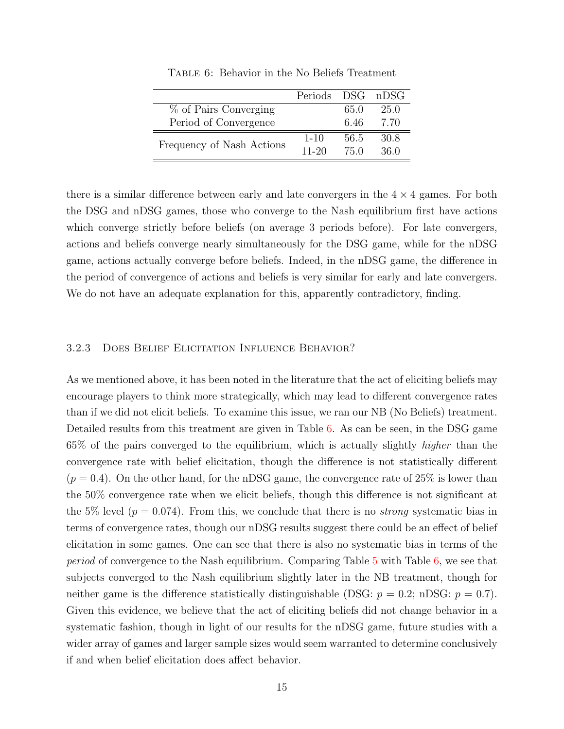<span id="page-14-0"></span>

|                           | Periods DSG |      | nDSG |
|---------------------------|-------------|------|------|
| % of Pairs Converging     |             | 65.0 | 25.0 |
| Period of Convergence     |             | 6.46 | 7.70 |
|                           | $1 - 10$    | 56.5 | 30 S |
| Frequency of Nash Actions | $11 - 20$   | 75 Q | 36 O |

Table 6: Behavior in the No Beliefs Treatment

there is a similar difference between early and late convergers in the  $4 \times 4$  games. For both the DSG and nDSG games, those who converge to the Nash equilibrium first have actions which converge strictly before beliefs (on average 3 periods before). For late convergers, actions and beliefs converge nearly simultaneously for the DSG game, while for the nDSG game, actions actually converge before beliefs. Indeed, in the nDSG game, the difference in the period of convergence of actions and beliefs is very similar for early and late convergers. We do not have an adequate explanation for this, apparently contradictory, finding.

#### 3.2.3 Does Belief Elicitation Influence Behavior?

As we mentioned above, it has been noted in the literature that the act of eliciting beliefs may encourage players to think more strategically, which may lead to different convergence rates than if we did not elicit beliefs. To examine this issue, we ran our NB (No Beliefs) treatment. Detailed results from this treatment are given in Table [6.](#page-14-0) As can be seen, in the DSG game 65% of the pairs converged to the equilibrium, which is actually slightly higher than the convergence rate with belief elicitation, though the difference is not statistically different  $(p = 0.4)$ . On the other hand, for the nDSG game, the convergence rate of 25% is lower than the 50% convergence rate when we elicit beliefs, though this difference is not significant at the 5% level ( $p = 0.074$ ). From this, we conclude that there is no *strong* systematic bias in terms of convergence rates, though our nDSG results suggest there could be an effect of belief elicitation in some games. One can see that there is also no systematic bias in terms of the period of convergence to the Nash equilibrium. Comparing Table [5](#page-12-0) with Table [6,](#page-14-0) we see that subjects converged to the Nash equilibrium slightly later in the NB treatment, though for neither game is the difference statistically distinguishable (DSG:  $p = 0.2$ ; nDSG:  $p = 0.7$ ). Given this evidence, we believe that the act of eliciting beliefs did not change behavior in a systematic fashion, though in light of our results for the nDSG game, future studies with a wider array of games and larger sample sizes would seem warranted to determine conclusively if and when belief elicitation does affect behavior.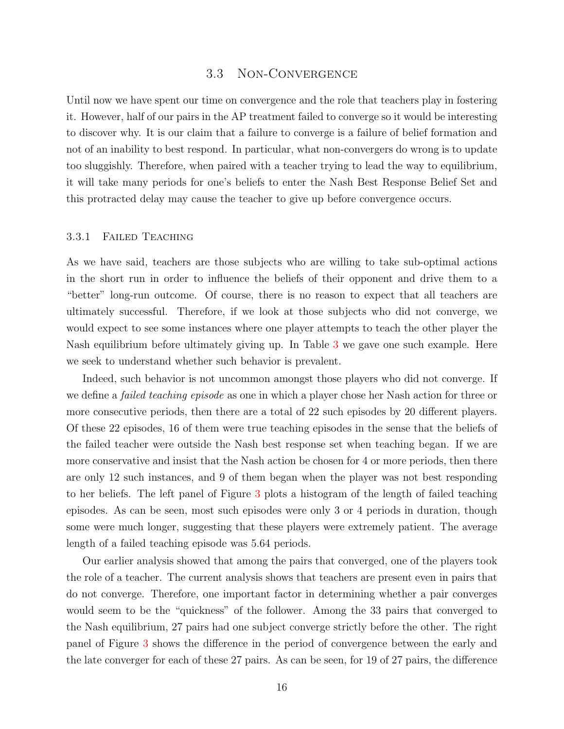#### 3.3 Non-Convergence

Until now we have spent our time on convergence and the role that teachers play in fostering it. However, half of our pairs in the AP treatment failed to converge so it would be interesting to discover why. It is our claim that a failure to converge is a failure of belief formation and not of an inability to best respond. In particular, what non-convergers do wrong is to update too sluggishly. Therefore, when paired with a teacher trying to lead the way to equilibrium, it will take many periods for one's beliefs to enter the Nash Best Response Belief Set and this protracted delay may cause the teacher to give up before convergence occurs.

#### 3.3.1 Failed Teaching

As we have said, teachers are those subjects who are willing to take sub-optimal actions in the short run in order to influence the beliefs of their opponent and drive them to a "better" long-run outcome. Of course, there is no reason to expect that all teachers are ultimately successful. Therefore, if we look at those subjects who did not converge, we would expect to see some instances where one player attempts to teach the other player the Nash equilibrium before ultimately giving up. In Table [3](#page-10-0) we gave one such example. Here we seek to understand whether such behavior is prevalent.

Indeed, such behavior is not uncommon amongst those players who did not converge. If we define a *failed teaching episode* as one in which a player chose her Nash action for three or more consecutive periods, then there are a total of 22 such episodes by 20 different players. Of these 22 episodes, 16 of them were true teaching episodes in the sense that the beliefs of the failed teacher were outside the Nash best response set when teaching began. If we are more conservative and insist that the Nash action be chosen for 4 or more periods, then there are only 12 such instances, and 9 of them began when the player was not best responding to her beliefs. The left panel of Figure [3](#page-16-0) plots a histogram of the length of failed teaching episodes. As can be seen, most such episodes were only 3 or 4 periods in duration, though some were much longer, suggesting that these players were extremely patient. The average length of a failed teaching episode was 5.64 periods.

Our earlier analysis showed that among the pairs that converged, one of the players took the role of a teacher. The current analysis shows that teachers are present even in pairs that do not converge. Therefore, one important factor in determining whether a pair converges would seem to be the "quickness" of the follower. Among the 33 pairs that converged to the Nash equilibrium, 27 pairs had one subject converge strictly before the other. The right panel of Figure [3](#page-16-0) shows the difference in the period of convergence between the early and the late converger for each of these 27 pairs. As can be seen, for 19 of 27 pairs, the difference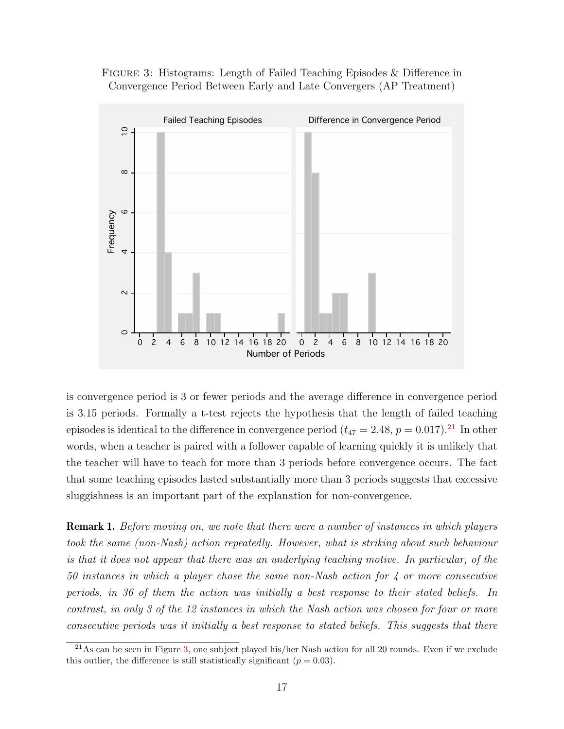<span id="page-16-0"></span>



is convergence period is 3 or fewer periods and the average difference in convergence period is 3.15 periods. Formally a t-test rejects the hypothesis that the length of failed teaching episodes is identical to the difference in convergence period  $(t_{47} = 2.48, p = 0.017).^{21}$  $(t_{47} = 2.48, p = 0.017).^{21}$  $(t_{47} = 2.48, p = 0.017).^{21}$  In other words, when a teacher is paired with a follower capable of learning quickly it is unlikely that the teacher will have to teach for more than 3 periods before convergence occurs. The fact that some teaching episodes lasted substantially more than 3 periods suggests that excessive sluggishness is an important part of the explanation for non-convergence.

**Remark 1.** Before moving on, we note that there were a number of instances in which players took the same (non-Nash) action repeatedly. However, what is striking about such behaviour is that it does not appear that there was an underlying teaching motive. In particular, of the 50 instances in which a player chose the same non-Nash action for 4 or more consecutive periods, in 36 of them the action was initially a best response to their stated beliefs. In contrast, in only 3 of the 12 instances in which the Nash action was chosen for four or more consecutive periods was it initially a best response to stated beliefs. This suggests that there

<span id="page-16-1"></span> $^{21}$ As can be seen in Figure [3,](#page-16-0) one subject played his/her Nash action for all 20 rounds. Even if we exclude this outlier, the difference is still statistically significant ( $p = 0.03$ ).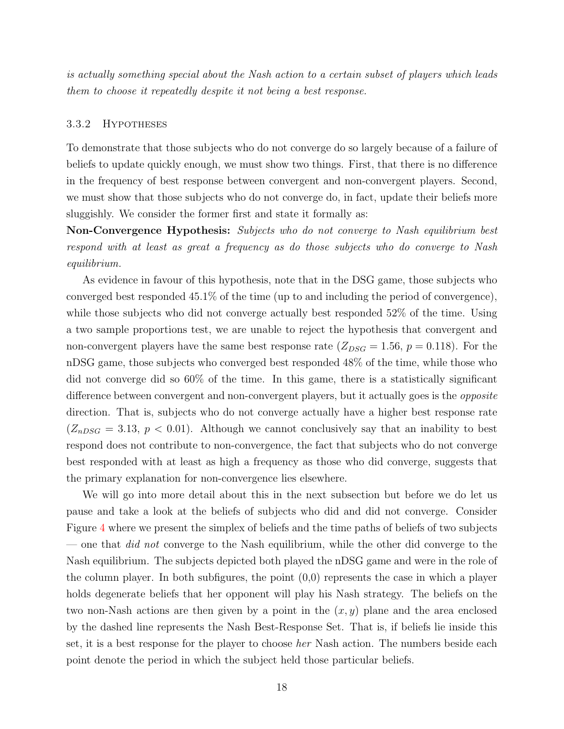is actually something special about the Nash action to a certain subset of players which leads them to choose it repeatedly despite it not being a best response.

#### 3.3.2 Hypotheses

To demonstrate that those subjects who do not converge do so largely because of a failure of beliefs to update quickly enough, we must show two things. First, that there is no difference in the frequency of best response between convergent and non-convergent players. Second, we must show that those subjects who do not converge do, in fact, update their beliefs more sluggishly. We consider the former first and state it formally as:

Non-Convergence Hypothesis: Subjects who do not converge to Nash equilibrium best respond with at least as great a frequency as do those subjects who do converge to Nash equilibrium.

As evidence in favour of this hypothesis, note that in the DSG game, those subjects who converged best responded 45.1% of the time (up to and including the period of convergence), while those subjects who did not converge actually best responded 52% of the time. Using a two sample proportions test, we are unable to reject the hypothesis that convergent and non-convergent players have the same best response rate  $(Z_{DSG} = 1.56, p = 0.118)$ . For the nDSG game, those subjects who converged best responded 48% of the time, while those who did not converge did so 60% of the time. In this game, there is a statistically significant difference between convergent and non-convergent players, but it actually goes is the *opposite* direction. That is, subjects who do not converge actually have a higher best response rate  $(Z_{nDSG} = 3.13, p < 0.01)$ . Although we cannot conclusively say that an inability to best respond does not contribute to non-convergence, the fact that subjects who do not converge best responded with at least as high a frequency as those who did converge, suggests that the primary explanation for non-convergence lies elsewhere.

We will go into more detail about this in the next subsection but before we do let us pause and take a look at the beliefs of subjects who did and did not converge. Consider Figure [4](#page-18-0) where we present the simplex of beliefs and the time paths of beliefs of two subjects — one that *did not* converge to the Nash equilibrium, while the other did converge to the Nash equilibrium. The subjects depicted both played the nDSG game and were in the role of the column player. In both subfigures, the point  $(0,0)$  represents the case in which a player holds degenerate beliefs that her opponent will play his Nash strategy. The beliefs on the two non-Nash actions are then given by a point in the  $(x, y)$  plane and the area enclosed by the dashed line represents the Nash Best-Response Set. That is, if beliefs lie inside this set, it is a best response for the player to choose her Nash action. The numbers beside each point denote the period in which the subject held those particular beliefs.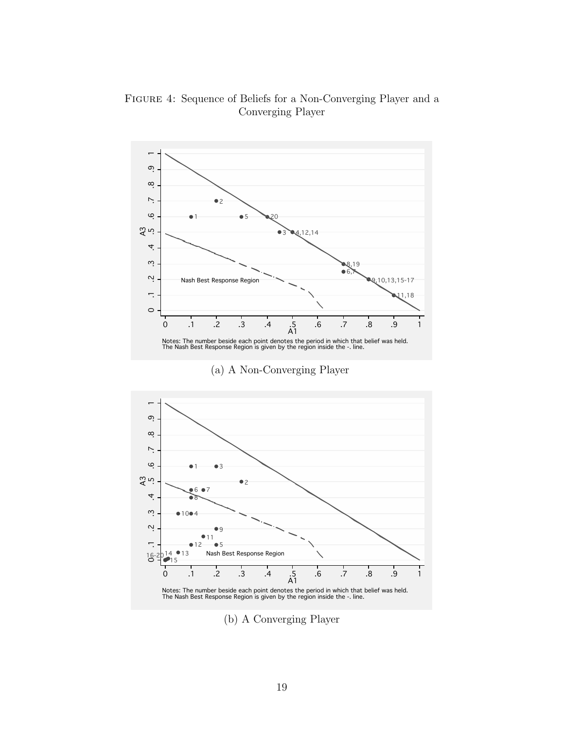<span id="page-18-0"></span>Figure 4: Sequence of Beliefs for a Non-Converging Player and a Converging Player

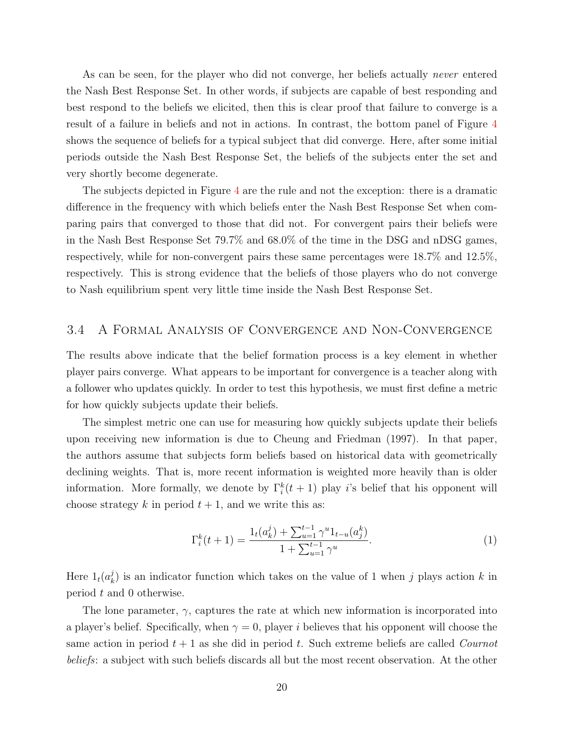As can be seen, for the player who did not converge, her beliefs actually *never* entered the Nash Best Response Set. In other words, if subjects are capable of best responding and best respond to the beliefs we elicited, then this is clear proof that failure to converge is a result of a failure in beliefs and not in actions. In contrast, the bottom panel of Figure [4](#page-18-0) shows the sequence of beliefs for a typical subject that did converge. Here, after some initial periods outside the Nash Best Response Set, the beliefs of the subjects enter the set and very shortly become degenerate.

The subjects depicted in Figure [4](#page-18-0) are the rule and not the exception: there is a dramatic difference in the frequency with which beliefs enter the Nash Best Response Set when comparing pairs that converged to those that did not. For convergent pairs their beliefs were in the Nash Best Response Set 79.7% and 68.0% of the time in the DSG and nDSG games, respectively, while for non-convergent pairs these same percentages were 18.7% and 12.5%, respectively. This is strong evidence that the beliefs of those players who do not converge to Nash equilibrium spent very little time inside the Nash Best Response Set.

## <span id="page-19-1"></span>3.4 A Formal Analysis of Convergence and Non-Convergence

The results above indicate that the belief formation process is a key element in whether player pairs converge. What appears to be important for convergence is a teacher along with a follower who updates quickly. In order to test this hypothesis, we must first define a metric for how quickly subjects update their beliefs.

The simplest metric one can use for measuring how quickly subjects update their beliefs upon receiving new information is due to [Cheung and Friedman](#page-33-7) [\(1997\)](#page-33-7). In that paper, the authors assume that subjects form beliefs based on historical data with geometrically declining weights. That is, more recent information is weighted more heavily than is older information. More formally, we denote by  $\Gamma_i^k(t+1)$  play *i*'s belief that his opponent will choose strategy k in period  $t + 1$ , and we write this as:

<span id="page-19-0"></span>
$$
\Gamma_i^k(t+1) = \frac{1_t(a_k^j) + \sum_{u=1}^{t-1} \gamma^u 1_{t-u}(a_j^k)}{1 + \sum_{u=1}^{t-1} \gamma^u}.
$$
\n(1)

Here  $1_t(a_k^j)$  $\mathcal{L}_k^j$  is an indicator function which takes on the value of 1 when j plays action k in period t and 0 otherwise.

The lone parameter,  $\gamma$ , captures the rate at which new information is incorporated into a player's belief. Specifically, when  $\gamma = 0$ , player *i* believes that his opponent will choose the same action in period  $t + 1$  as she did in period t. Such extreme beliefs are called *Cournot* beliefs: a subject with such beliefs discards all but the most recent observation. At the other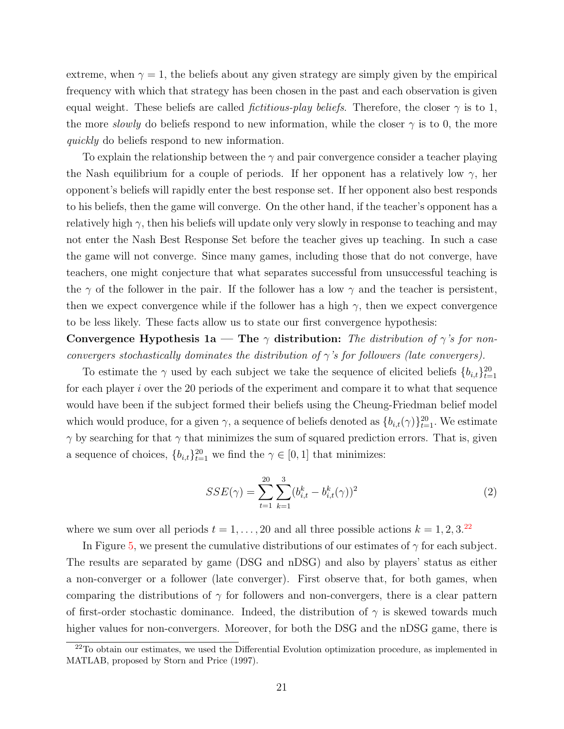extreme, when  $\gamma = 1$ , the beliefs about any given strategy are simply given by the empirical frequency with which that strategy has been chosen in the past and each observation is given equal weight. These beliefs are called *fictitious-play beliefs*. Therefore, the closer  $\gamma$  is to 1, the more *slowly* do beliefs respond to new information, while the closer  $\gamma$  is to 0, the more quickly do beliefs respond to new information.

To explain the relationship between the  $\gamma$  and pair convergence consider a teacher playing the Nash equilibrium for a couple of periods. If her opponent has a relatively low  $\gamma$ , her opponent's beliefs will rapidly enter the best response set. If her opponent also best responds to his beliefs, then the game will converge. On the other hand, if the teacher's opponent has a relatively high  $\gamma$ , then his beliefs will update only very slowly in response to teaching and may not enter the Nash Best Response Set before the teacher gives up teaching. In such a case the game will not converge. Since many games, including those that do not converge, have teachers, one might conjecture that what separates successful from unsuccessful teaching is the  $\gamma$  of the follower in the pair. If the follower has a low  $\gamma$  and the teacher is persistent, then we expect convergence while if the follower has a high  $\gamma$ , then we expect convergence to be less likely. These facts allow us to state our first convergence hypothesis:

Convergence Hypothesis 1a — The  $\gamma$  distribution: The distribution of  $\gamma$ 's for nonconvergers stochastically dominates the distribution of  $\gamma$ 's for followers (late convergers).

To estimate the  $\gamma$  used by each subject we take the sequence of elicited beliefs  ${b_{i,t}}_{t=1}^{20}$ for each player i over the 20 periods of the experiment and compare it to what that sequence would have been if the subject formed their beliefs using the Cheung-Friedman belief model which would produce, for a given  $\gamma$ , a sequence of beliefs denoted as  $\{b_{i,t}(\gamma)\}_{t=1}^{20}$ . We estimate  $\gamma$  by searching for that  $\gamma$  that minimizes the sum of squared prediction errors. That is, given a sequence of choices,  ${b_{i,t}}_{t=1}^{20}$  we find the  $\gamma \in [0,1]$  that minimizes:

$$
SSE(\gamma) = \sum_{t=1}^{20} \sum_{k=1}^{3} (b_{i,t}^{k} - b_{i,t}^{k}(\gamma))^{2}
$$
 (2)

where we sum over all periods  $t = 1, \ldots, 20$  and all three possible actions  $k = 1, 2, 3$ .<sup>[22](#page-20-0)</sup>

In Figure [5,](#page-21-0) we present the cumulative distributions of our estimates of  $\gamma$  for each subject. The results are separated by game (DSG and nDSG) and also by players' status as either a non-converger or a follower (late converger). First observe that, for both games, when comparing the distributions of  $\gamma$  for followers and non-convergers, there is a clear pattern of first-order stochastic dominance. Indeed, the distribution of  $\gamma$  is skewed towards much higher values for non-convergers. Moreover, for both the DSG and the nDSG game, there is

<span id="page-20-0"></span> $22$ To obtain our estimates, we used the Differential Evolution optimization procedure, as implemented in MATLAB, proposed by [Storn and Price](#page-35-3) [\(1997\)](#page-35-3).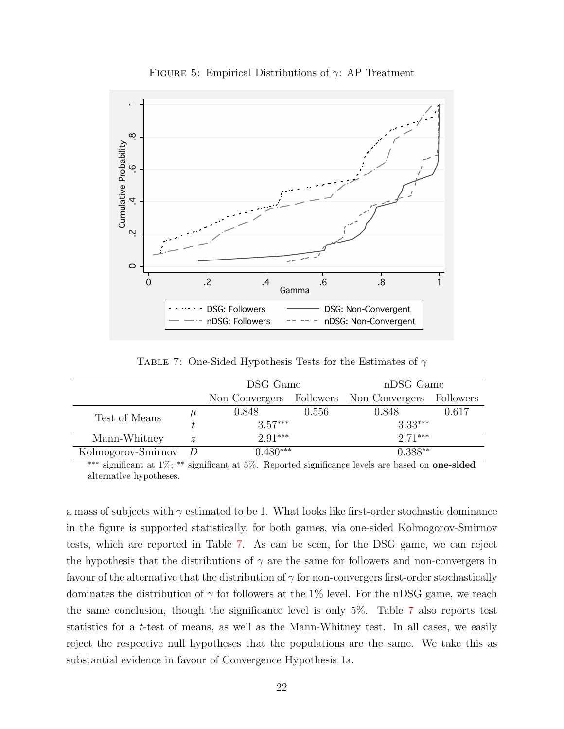<span id="page-21-0"></span>

FIGURE 5: Empirical Distributions of  $\gamma$ : AP Treatment

TABLE 7: One-Sided Hypothesis Tests for the Estimates of  $\gamma$ 

<span id="page-21-1"></span>

|                        |              | DSG Game   |       | nDSG Game                               |           |
|------------------------|--------------|------------|-------|-----------------------------------------|-----------|
|                        |              |            |       | Non-Convergers Followers Non-Convergers | Followers |
| Test of Means          | μ            | 0.848      | 0.556 | 0.848                                   | 0.617     |
|                        |              | $3.57***$  |       | $3.33***$                               |           |
| Mann-Whitney           | $\mathcal Z$ | $2.91***$  |       | $2.71***$                               |           |
| Kolmogorov-Smirnov $D$ |              | $0.480***$ |       | $0.388**$                               |           |

∗∗∗ significant at 1%; ∗∗ significant at 5%. Reported significance levels are based on one-sided alternative hypotheses.

a mass of subjects with  $\gamma$  estimated to be 1. What looks like first-order stochastic dominance in the figure is supported statistically, for both games, via one-sided Kolmogorov-Smirnov tests, which are reported in Table [7.](#page-21-1) As can be seen, for the DSG game, we can reject the hypothesis that the distributions of  $\gamma$  are the same for followers and non-convergers in favour of the alternative that the distribution of  $\gamma$  for non-convergers first-order stochastically dominates the distribution of  $\gamma$  for followers at the 1% level. For the nDSG game, we reach the same conclusion, though the significance level is only 5%. Table [7](#page-21-1) also reports test statistics for a t-test of means, as well as the Mann-Whitney test. In all cases, we easily reject the respective null hypotheses that the populations are the same. We take this as substantial evidence in favour of Convergence Hypothesis 1a.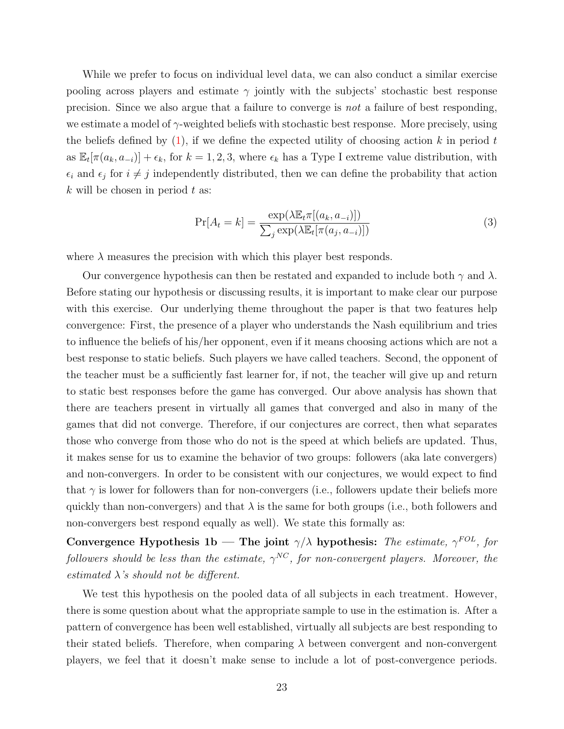While we prefer to focus on individual level data, we can also conduct a similar exercise pooling across players and estimate  $\gamma$  jointly with the subjects' stochastic best response precision. Since we also argue that a failure to converge is not a failure of best responding, we estimate a model of  $\gamma$ -weighted beliefs with stochastic best response. More precisely, using the beliefs defined by  $(1)$ , if we define the expected utility of choosing action k in period t as  $\mathbb{E}_t[\pi(a_k, a_{-i})] + \epsilon_k$ , for  $k = 1, 2, 3$ , where  $\epsilon_k$  has a Type I extreme value distribution, with  $\epsilon_i$  and  $\epsilon_j$  for  $i \neq j$  independently distributed, then we can define the probability that action  $k$  will be chosen in period  $t$  as:

$$
\Pr[A_t = k] = \frac{\exp(\lambda \mathbb{E}_t \pi[(a_k, a_{-i})])}{\sum_j \exp(\lambda \mathbb{E}_t[\pi(a_j, a_{-i})])}
$$
(3)

where  $\lambda$  measures the precision with which this player best responds.

Our convergence hypothesis can then be restated and expanded to include both  $\gamma$  and  $\lambda$ . Before stating our hypothesis or discussing results, it is important to make clear our purpose with this exercise. Our underlying theme throughout the paper is that two features help convergence: First, the presence of a player who understands the Nash equilibrium and tries to influence the beliefs of his/her opponent, even if it means choosing actions which are not a best response to static beliefs. Such players we have called teachers. Second, the opponent of the teacher must be a sufficiently fast learner for, if not, the teacher will give up and return to static best responses before the game has converged. Our above analysis has shown that there are teachers present in virtually all games that converged and also in many of the games that did not converge. Therefore, if our conjectures are correct, then what separates those who converge from those who do not is the speed at which beliefs are updated. Thus, it makes sense for us to examine the behavior of two groups: followers (aka late convergers) and non-convergers. In order to be consistent with our conjectures, we would expect to find that  $\gamma$  is lower for followers than for non-convergers (i.e., followers update their beliefs more quickly than non-convergers) and that  $\lambda$  is the same for both groups (i.e., both followers and non-convergers best respond equally as well). We state this formally as:

Convergence Hypothesis 1b — The joint  $\gamma/\lambda$  hypothesis: The estimate,  $\gamma^{FOL}$ , for followers should be less than the estimate,  $\gamma^{NC}$ , for non-convergent players. Moreover, the estimated  $\lambda$ 's should not be different.

We test this hypothesis on the pooled data of all subjects in each treatment. However, there is some question about what the appropriate sample to use in the estimation is. After a pattern of convergence has been well established, virtually all subjects are best responding to their stated beliefs. Therefore, when comparing  $\lambda$  between convergent and non-convergent players, we feel that it doesn't make sense to include a lot of post-convergence periods.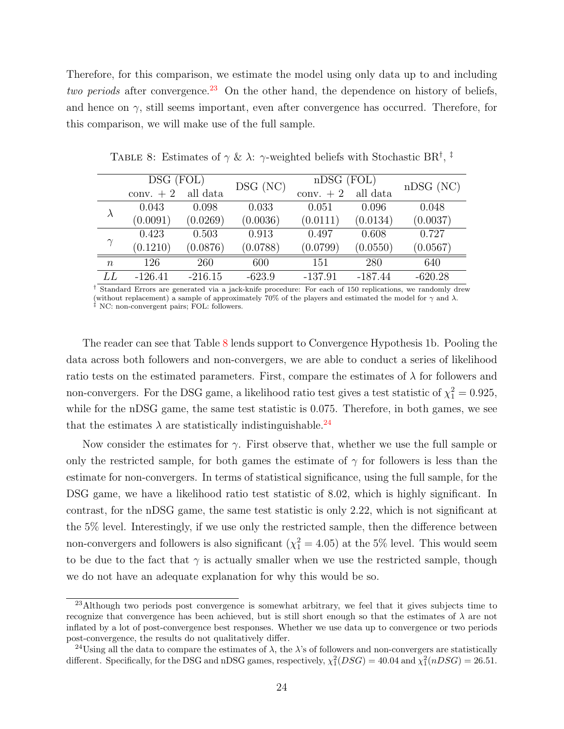Therefore, for this comparison, we estimate the model using only data up to and including two periods after convergence.<sup>[23](#page-23-0)</sup> On the other hand, the dependence on history of beliefs, and hence on  $\gamma$ , still seems important, even after convergence has occurred. Therefore, for this comparison, we will make use of the full sample.

<span id="page-23-1"></span>

|                  | DSG (FOL)  |           | DSG (NC) | $nDSG$ (FOL) |           | $nDSG$ (NC) |
|------------------|------------|-----------|----------|--------------|-----------|-------------|
|                  | conv. $+2$ | all data  |          | conv. $+2$   | all data  |             |
| $\lambda$        | 0.043      | 0.098     | 0.033    | 0.051        | 0.096     | 0.048       |
|                  | (0.0091)   | (0.0269)  | (0.0036) | (0.0111)     | (0.0134)  | (0.0037)    |
|                  | 0.423      | 0.503     | 0.913    | 0.497        | 0.608     | 0.727       |
| $\gamma$         | (0.1210)   | (0.0876)  | (0.0788) | (0.0799)     | (0.0550)  | (0.0567)    |
| $\boldsymbol{n}$ | 126        | 260       | 600      | 151          | 280       | 640         |
| LL               | $-126.41$  | $-216.15$ | $-623.9$ | $-137.91$    | $-187.44$ | $-620.28$   |

TABLE 8: Estimates of  $\gamma \& \lambda$ :  $\gamma$ -weighted beliefs with Stochastic BR<sup>†</sup>, <sup>‡</sup>

† Standard Errors are generated via a jack-knife procedure: For each of 150 replications, we randomly drew (without replacement) a sample of approximately 70% of the players and estimated the model for  $\gamma$  and  $\lambda$ . ‡ NC: non-convergent pairs; FOL: followers.

The reader can see that Table [8](#page-23-1) lends support to Convergence Hypothesis 1b. Pooling the data across both followers and non-convergers, we are able to conduct a series of likelihood ratio tests on the estimated parameters. First, compare the estimates of  $\lambda$  for followers and non-convergers. For the DSG game, a likelihood ratio test gives a test statistic of  $\chi_1^2 = 0.925$ , while for the nDSG game, the same test statistic is 0.075. Therefore, in both games, we see that the estimates  $\lambda$  are statistically indistinguishable.<sup>[24](#page-23-2)</sup>

Now consider the estimates for  $\gamma$ . First observe that, whether we use the full sample or only the restricted sample, for both games the estimate of  $\gamma$  for followers is less than the estimate for non-convergers. In terms of statistical significance, using the full sample, for the DSG game, we have a likelihood ratio test statistic of 8.02, which is highly significant. In contrast, for the nDSG game, the same test statistic is only 2.22, which is not significant at the 5% level. Interestingly, if we use only the restricted sample, then the difference between non-convergers and followers is also significant  $(\chi_1^2 = 4.05)$  at the 5% level. This would seem to be due to the fact that  $\gamma$  is actually smaller when we use the restricted sample, though we do not have an adequate explanation for why this would be so.

<span id="page-23-0"></span><sup>&</sup>lt;sup>23</sup>Although two periods post convergence is somewhat arbitrary, we feel that it gives subjects time to recognize that convergence has been achieved, but is still short enough so that the estimates of  $\lambda$  are not inflated by a lot of post-convergence best responses. Whether we use data up to convergence or two periods post-convergence, the results do not qualitatively differ.

<span id="page-23-2"></span><sup>&</sup>lt;sup>24</sup>Using all the data to compare the estimates of  $\lambda$ , the  $\lambda$ 's of followers and non-convergers are statistically different. Specifically, for the DSG and nDSG games, respectively,  $\chi_1^2(DSG) = 40.04$  and  $\chi_1^2(nDSG) = 26.51$ .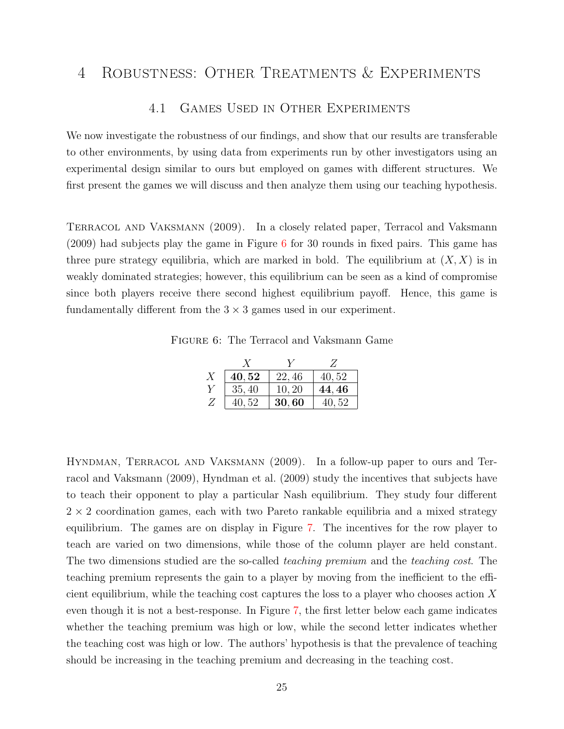# <span id="page-24-0"></span>4 Robustness: Other Treatments & Experiments

# 4.1 Games Used in Other Experiments

We now investigate the robustness of our findings, and show that our results are transferable to other environments, by using data from experiments run by other investigators using an experimental design similar to ours but employed on games with different structures. We first present the games we will discuss and then analyze them using our teaching hypothesis.

Terracol and Vaksmann (2009). In a closely related paper, [Terracol and Vaksmann](#page-35-2) [\(2009\)](#page-35-2) had subjects play the game in Figure [6](#page-24-1) for 30 rounds in fixed pairs. This game has three pure strategy equilibria, which are marked in bold. The equilibrium at  $(X, X)$  is in weakly dominated strategies; however, this equilibrium can be seen as a kind of compromise since both players receive there second highest equilibrium payoff. Hence, this game is fundamentally different from the  $3 \times 3$  games used in our experiment.

<span id="page-24-1"></span>Figure 6: The Terracol and Vaksmann Game

| X | 40,52  | 22, 46 | 40,52  |
|---|--------|--------|--------|
|   | 35, 40 | 10, 20 | 44, 46 |
| Z | 40,52  | 30,60  | 40,52  |

Hyndman, Terracol and Vaksmann (2009). In a follow-up paper to ours and [Ter](#page-35-2)[racol and Vaksmann](#page-35-2) [\(2009\)](#page-35-2), [Hyndman et al.](#page-34-4) [\(2009\)](#page-34-4) study the incentives that subjects have to teach their opponent to play a particular Nash equilibrium. They study four different  $2 \times 2$  coordination games, each with two Pareto rankable equilibria and a mixed strategy equilibrium. The games are on display in Figure [7.](#page-25-0) The incentives for the row player to teach are varied on two dimensions, while those of the column player are held constant. The two dimensions studied are the so-called *teaching premium* and the *teaching cost*. The teaching premium represents the gain to a player by moving from the inefficient to the efficient equilibrium, while the teaching cost captures the loss to a player who chooses action  $X$ even though it is not a best-response. In Figure [7,](#page-25-0) the first letter below each game indicates whether the teaching premium was high or low, while the second letter indicates whether the teaching cost was high or low. The authors' hypothesis is that the prevalence of teaching should be increasing in the teaching premium and decreasing in the teaching cost.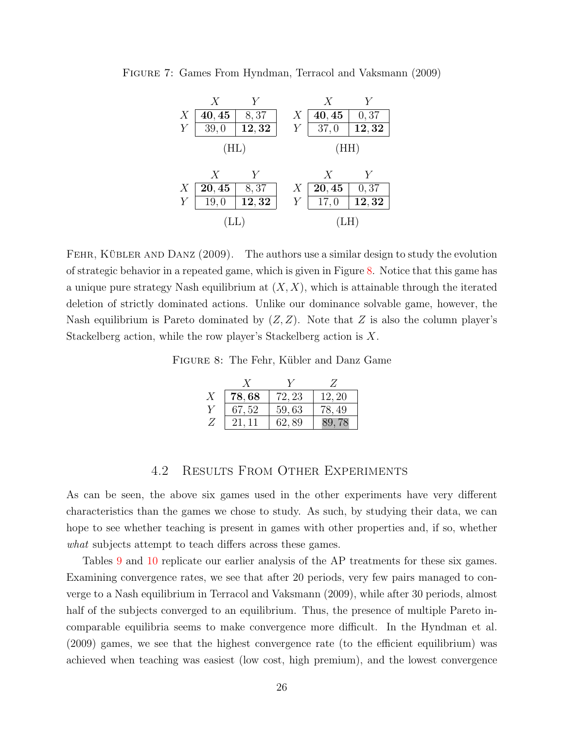|   | X                | Y     |   | $\boldsymbol{X}$  |        |
|---|------------------|-------|---|-------------------|--------|
| Х | 40, 45           | 8,37  | X | 40, 45            | 0,37   |
|   | 39,0             | 12,32 |   | 37,0              | 12, 32 |
|   | (HL)             |       |   | (HH)              |        |
|   |                  |       |   |                   |        |
|   | $\boldsymbol{X}$ | Y     |   | $\boldsymbol{X}$  | Y      |
| Х | 20, 45           | 8,37  | X | 20,45             | 0,37   |
|   | 19,0             | 12,32 |   | $\overline{17},0$ | 12,32  |

<span id="page-25-0"></span>Figure 7: Games From Hyndman, Terracol and Vaksmann (2009)

<span id="page-25-1"></span>FEHR, KÜBLER AND DANZ (2009). The authors use a similar design to study the evolution of strategic behavior in a repeated game, which is given in Figure [8.](#page-25-1) Notice that this game has a unique pure strategy Nash equilibrium at  $(X, X)$ , which is attainable through the iterated deletion of strictly dominated actions. Unlike our dominance solvable game, however, the Nash equilibrium is Pareto dominated by  $(Z, Z)$ . Note that Z is also the column player's Stackelberg action, while the row player's Stackelberg action is X.

FIGURE 8: The Fehr, Kübler and Danz Game

| Х | 78,68  | 72, 23 | 12, 20 |
|---|--------|--------|--------|
|   | 67,52  | 59,63  | 78, 49 |
| Z | 21, 11 | 62,89  | 89,78  |

# 4.2 Results From Other Experiments

As can be seen, the above six games used in the other experiments have very different characteristics than the games we chose to study. As such, by studying their data, we can hope to see whether teaching is present in games with other properties and, if so, whether what subjects attempt to teach differs across these games.

Tables [9](#page-26-0) and [10](#page-26-1) replicate our earlier analysis of the AP treatments for these six games. Examining convergence rates, we see that after 20 periods, very few pairs managed to converge to a Nash equilibrium in [Terracol and Vaksmann](#page-35-2) [\(2009\)](#page-35-2), while after 30 periods, almost half of the subjects converged to an equilibrium. Thus, the presence of multiple Pareto incomparable equilibria seems to make convergence more difficult. In the [Hyndman et al.](#page-34-4) [\(2009\)](#page-34-4) games, we see that the highest convergence rate (to the efficient equilibrium) was achieved when teaching was easiest (low cost, high premium), and the lowest convergence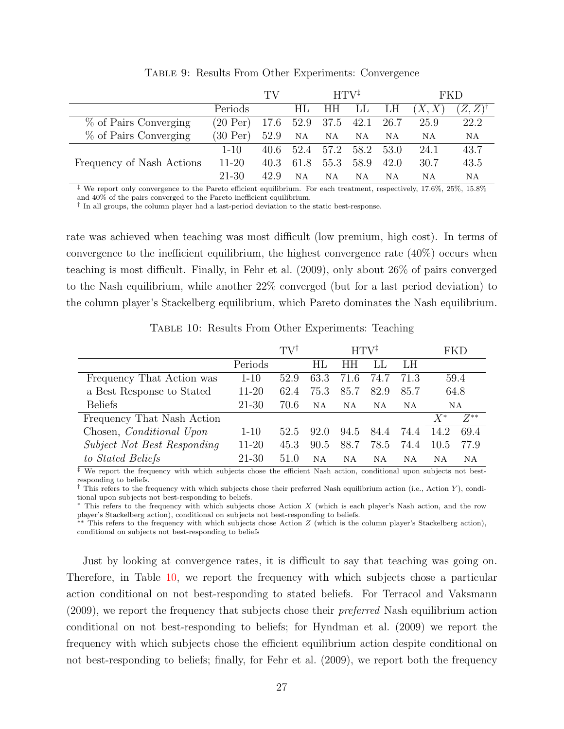<span id="page-26-0"></span>

|                           |            | TV   | $HTV^{\ddagger}$ |                |           |      | <b>FKD</b> |                   |  |
|---------------------------|------------|------|------------------|----------------|-----------|------|------------|-------------------|--|
|                           | Periods    |      | HL               | HH .           | LL        | LH   |            | $(Z,Z)^{\dagger}$ |  |
| % of Pairs Converging     | $(20$ Per) |      | 17.6 52.9        | 37.5 42.1 26.7 |           |      | 25.9       | 22.2              |  |
| % of Pairs Converging     | $(30$ Per) | 52.9 | <b>NA</b>        | NA             | NA        | ΝA   | NA         | <b>NA</b>         |  |
|                           | $1 - 10$   | 40.6 | 52.4             | 57.2           | 58.2      | 53.0 | 24.1       | 43.7              |  |
| Frequency of Nash Actions | $11-20$    | 40.3 | 61.8             | 55.3           | 58.9      | 42.0 | 30.7       | 43.5              |  |
|                           | $21 - 30$  | 42.9 | ΝA               | NΑ             | <b>NA</b> | NA   | NΑ         | N A               |  |

Table 9: Results From Other Experiments: Convergence

‡ We report only convergence to the Pareto efficient equilibrium. For each treatment, respectively, 17.6%, 25%, 15.8% and 40% of the pairs converged to the Pareto inefficient equilibrium.

† In all groups, the column player had a last-period deviation to the static best-response.

rate was achieved when teaching was most difficult (low premium, high cost). In terms of convergence to the inefficient equilibrium, the highest convergence rate (40%) occurs when teaching is most difficult. Finally, in [Fehr et al.](#page-34-5) [\(2009\)](#page-34-5), only about 26% of pairs converged to the Nash equilibrium, while another 22% converged (but for a last period deviation) to the column player's Stackelberg equilibrium, which Pareto dominates the Nash equilibrium.

Table 10: Results From Other Experiments: Teaching

<span id="page-26-1"></span>

|                                 |           | $\rm{TV}^{\dagger}$ | $HTV^{\ddagger}$ |           |      |           |           |           |
|---------------------------------|-----------|---------------------|------------------|-----------|------|-----------|-----------|-----------|
|                                 | Periods   |                     | HL               | HН        |      | LH        |           |           |
| Frequency That Action was       | $1 - 10$  | 52.9                | 63.3             | 71.6      | 74.7 | 71.3      | 59.4      |           |
| a Best Response to Stated       | $11 - 20$ | 62.4                | 75.3             | 85.7      | 82.9 | 85.7      | 64.8      |           |
| <b>Beliefs</b>                  | $21 - 30$ | 70.6                | <b>NA</b>        | N A       | NA.  | <b>NA</b> | <b>NA</b> |           |
| Frequency That Nash Action      |           |                     |                  |           |      |           | $X^*$     | $Z^{**}$  |
| Chosen, <i>Conditional Upon</i> | $1 - 10$  | 52.5                | 92.0             | 94.5      | 84.4 | 74.4      | 14.2      | 69.4      |
| Subject Not Best Responding     | $11 - 20$ | 45.3                | 90.5             | 88.7      | 78.5 | 74.4      | 10.5      | 77.9      |
| to Stated Beliefs               | $21 - 30$ | 51 0                | NA.              | <b>NA</b> | N A  | ΝA        | <b>NA</b> | <b>NA</b> |

‡ We report the frequency with which subjects chose the efficient Nash action, conditional upon subjects not bestresponding to beliefs.

<sup> $\dagger$ </sup> This refers to the frequency with which subjects chose their preferred Nash equilibrium action (i.e., Action Y), conditional upon subjects not best-responding to beliefs.

This refers to the frequency with which subjects chose Action  $X$  (which is each player's Nash action, and the row player's Stackelberg action), conditional on subjects not best-responding to beliefs.

This refers to the frequency with which subjects chose Action Z (which is the column player's Stackelberg action), conditional on subjects not best-responding to beliefs

Just by looking at convergence rates, it is difficult to say that teaching was going on. Therefore, in Table [10,](#page-26-1) we report the frequency with which subjects chose a particular action conditional on not best-responding to stated beliefs. For [Terracol and Vaksmann](#page-35-2) [\(2009\)](#page-35-2), we report the frequency that subjects chose their preferred Nash equilibrium action conditional on not best-responding to beliefs; for [Hyndman et al.](#page-34-4) [\(2009\)](#page-34-4) we report the frequency with which subjects chose the efficient equilibrium action despite conditional on not best-responding to beliefs; finally, for [Fehr et al.](#page-34-5) [\(2009\)](#page-34-5), we report both the frequency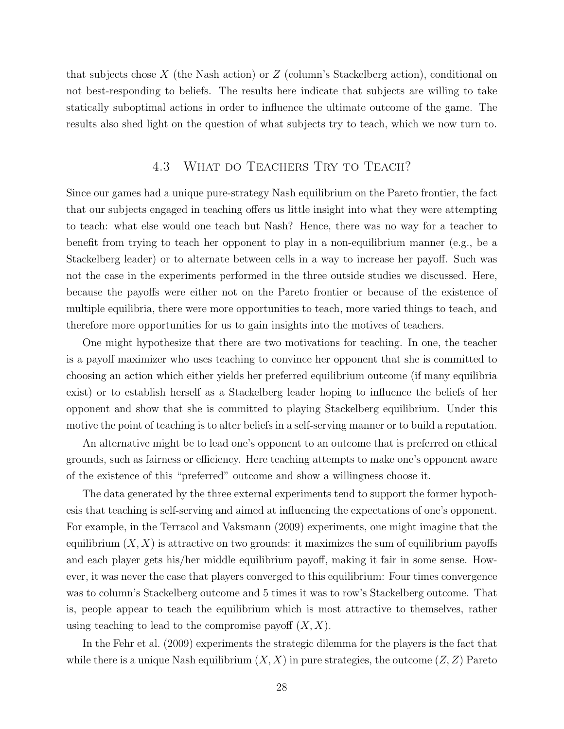that subjects chose  $X$  (the Nash action) or  $Z$  (column's Stackelberg action), conditional on not best-responding to beliefs. The results here indicate that subjects are willing to take statically suboptimal actions in order to influence the ultimate outcome of the game. The results also shed light on the question of what subjects try to teach, which we now turn to.

## 4.3 What do Teachers Try to Teach?

Since our games had a unique pure-strategy Nash equilibrium on the Pareto frontier, the fact that our subjects engaged in teaching offers us little insight into what they were attempting to teach: what else would one teach but Nash? Hence, there was no way for a teacher to benefit from trying to teach her opponent to play in a non-equilibrium manner (e.g., be a Stackelberg leader) or to alternate between cells in a way to increase her payoff. Such was not the case in the experiments performed in the three outside studies we discussed. Here, because the payoffs were either not on the Pareto frontier or because of the existence of multiple equilibria, there were more opportunities to teach, more varied things to teach, and therefore more opportunities for us to gain insights into the motives of teachers.

One might hypothesize that there are two motivations for teaching. In one, the teacher is a payoff maximizer who uses teaching to convince her opponent that she is committed to choosing an action which either yields her preferred equilibrium outcome (if many equilibria exist) or to establish herself as a Stackelberg leader hoping to influence the beliefs of her opponent and show that she is committed to playing Stackelberg equilibrium. Under this motive the point of teaching is to alter beliefs in a self-serving manner or to build a reputation.

An alternative might be to lead one's opponent to an outcome that is preferred on ethical grounds, such as fairness or efficiency. Here teaching attempts to make one's opponent aware of the existence of this "preferred" outcome and show a willingness choose it.

The data generated by the three external experiments tend to support the former hypothesis that teaching is self-serving and aimed at influencing the expectations of one's opponent. For example, in the [Terracol and Vaksmann](#page-35-2) [\(2009\)](#page-35-2) experiments, one might imagine that the equilibrium  $(X, X)$  is attractive on two grounds: it maximizes the sum of equilibrium payoffs and each player gets his/her middle equilibrium payoff, making it fair in some sense. However, it was never the case that players converged to this equilibrium: Four times convergence was to column's Stackelberg outcome and 5 times it was to row's Stackelberg outcome. That is, people appear to teach the equilibrium which is most attractive to themselves, rather using teaching to lead to the compromise payoff  $(X, X)$ .

In the [Fehr et al.](#page-34-5) [\(2009\)](#page-34-5) experiments the strategic dilemma for the players is the fact that while there is a unique Nash equilibrium  $(X, X)$  in pure strategies, the outcome  $(Z, Z)$  Pareto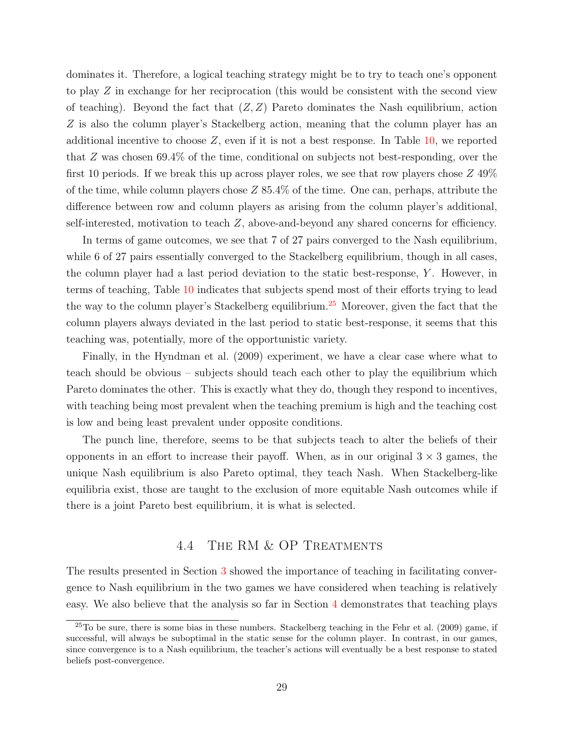dominates it. Therefore, a logical teaching strategy might be to try to teach one's opponent to play Z in exchange for her reciprocation (this would be consistent with the second view of teaching). Beyond the fact that  $(Z, Z)$  Pareto dominates the Nash equilibrium, action Z is also the column player's Stackelberg action, meaning that the column player has an additional incentive to choose  $Z$ , even if it is not a best response. In Table [10,](#page-26-1) we reported that Z was chosen 69.4% of the time, conditional on subjects not best-responding, over the first 10 periods. If we break this up across player roles, we see that row players chose  $Z$  49% of the time, while column players chose Z 85.4% of the time. One can, perhaps, attribute the difference between row and column players as arising from the column player's additional, self-interested, motivation to teach  $Z$ , above-and-beyond any shared concerns for efficiency.

In terms of game outcomes, we see that 7 of 27 pairs converged to the Nash equilibrium, while 6 of 27 pairs essentially converged to the Stackelberg equilibrium, though in all cases, the column player had a last period deviation to the static best-response,  $Y$ . However, in terms of teaching, Table [10](#page-26-1) indicates that subjects spend most of their efforts trying to lead the way to the column player's Stackelberg equilibrium.[25](#page-28-0) Moreover, given the fact that the column players always deviated in the last period to static best-response, it seems that this teaching was, potentially, more of the opportunistic variety.

Finally, in the [Hyndman et al.](#page-34-4) [\(2009\)](#page-34-4) experiment, we have a clear case where what to teach should be obvious – subjects should teach each other to play the equilibrium which Pareto dominates the other. This is exactly what they do, though they respond to incentives, with teaching being most prevalent when the teaching premium is high and the teaching cost is low and being least prevalent under opposite conditions.

The punch line, therefore, seems to be that subjects teach to alter the beliefs of their opponents in an effort to increase their payoff. When, as in our original  $3 \times 3$  games, the unique Nash equilibrium is also Pareto optimal, they teach Nash. When Stackelberg-like equilibria exist, those are taught to the exclusion of more equitable Nash outcomes while if there is a joint Pareto best equilibrium, it is what is selected.

## 4.4 THE RM & OP TREATMENTS

The results presented in Section [3](#page-7-0) showed the importance of teaching in facilitating convergence to Nash equilibrium in the two games we have considered when teaching is relatively easy. We also believe that the analysis so far in Section [4](#page-24-0) demonstrates that teaching plays

<span id="page-28-0"></span> $^{25}$ To be sure, there is some bias in these numbers. Stackelberg teaching in the [Fehr et al.](#page-34-5) [\(2009\)](#page-34-5) game, if successful, will always be suboptimal in the static sense for the column player. In contrast, in our games, since convergence is to a Nash equilibrium, the teacher's actions will eventually be a best response to stated beliefs post-convergence.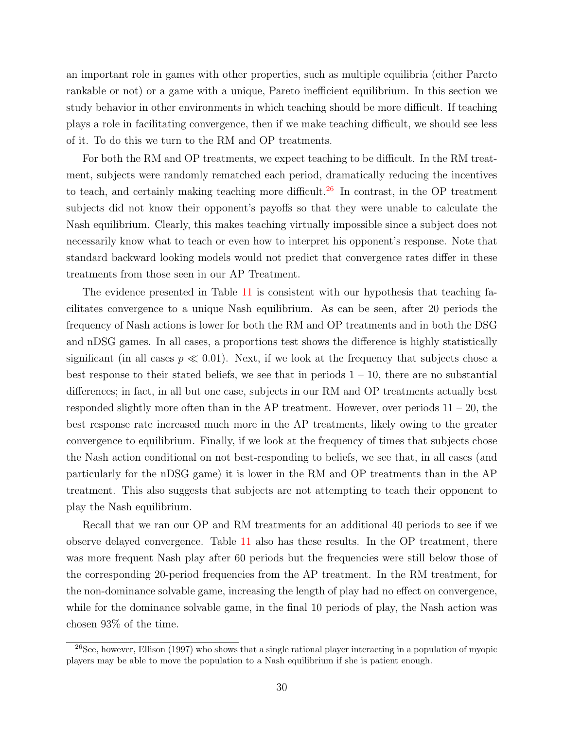an important role in games with other properties, such as multiple equilibria (either Pareto rankable or not) or a game with a unique, Pareto inefficient equilibrium. In this section we study behavior in other environments in which teaching should be more difficult. If teaching plays a role in facilitating convergence, then if we make teaching difficult, we should see less of it. To do this we turn to the RM and OP treatments.

For both the RM and OP treatments, we expect teaching to be difficult. In the RM treatment, subjects were randomly rematched each period, dramatically reducing the incentives to teach, and certainly making teaching more difficult.<sup>[26](#page-29-0)</sup> In contrast, in the OP treatment subjects did not know their opponent's payoffs so that they were unable to calculate the Nash equilibrium. Clearly, this makes teaching virtually impossible since a subject does not necessarily know what to teach or even how to interpret his opponent's response. Note that standard backward looking models would not predict that convergence rates differ in these treatments from those seen in our AP Treatment.

The evidence presented in Table [11](#page-30-0) is consistent with our hypothesis that teaching facilitates convergence to a unique Nash equilibrium. As can be seen, after 20 periods the frequency of Nash actions is lower for both the RM and OP treatments and in both the DSG and nDSG games. In all cases, a proportions test shows the difference is highly statistically significant (in all cases  $p \ll 0.01$ ). Next, if we look at the frequency that subjects chose a best response to their stated beliefs, we see that in periods  $1 - 10$ , there are no substantial differences; in fact, in all but one case, subjects in our RM and OP treatments actually best responded slightly more often than in the AP treatment. However, over periods  $11 - 20$ , the best response rate increased much more in the AP treatments, likely owing to the greater convergence to equilibrium. Finally, if we look at the frequency of times that subjects chose the Nash action conditional on not best-responding to beliefs, we see that, in all cases (and particularly for the nDSG game) it is lower in the RM and OP treatments than in the AP treatment. This also suggests that subjects are not attempting to teach their opponent to play the Nash equilibrium.

Recall that we ran our OP and RM treatments for an additional 40 periods to see if we observe delayed convergence. Table [11](#page-30-0) also has these results. In the OP treatment, there was more frequent Nash play after 60 periods but the frequencies were still below those of the corresponding 20-period frequencies from the AP treatment. In the RM treatment, for the non-dominance solvable game, increasing the length of play had no effect on convergence, while for the dominance solvable game, in the final 10 periods of play, the Nash action was chosen 93% of the time.

<span id="page-29-0"></span><sup>26</sup>See, however, [Ellison](#page-34-2) [\(1997\)](#page-34-2) who shows that a single rational player interacting in a population of myopic players may be able to move the population to a Nash equilibrium if she is patient enough.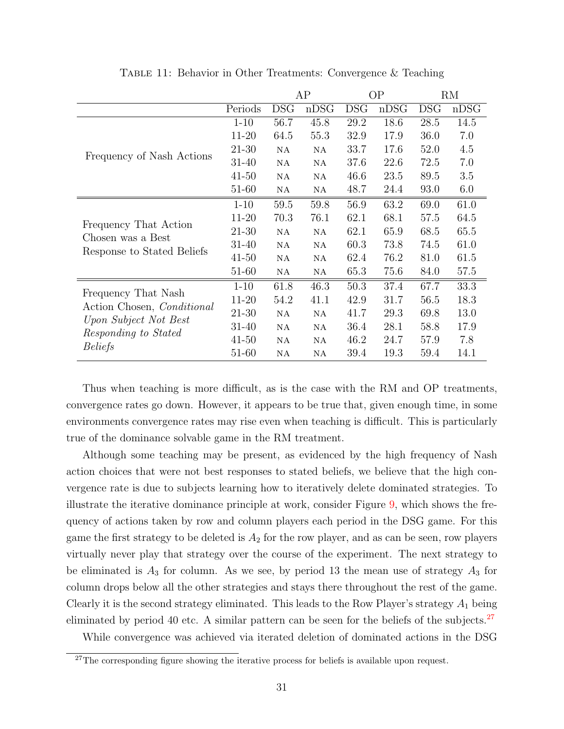<span id="page-30-0"></span>

|                                            |           | AP         |             | ΟP         |      |            | RM   |
|--------------------------------------------|-----------|------------|-------------|------------|------|------------|------|
|                                            | Periods   | <b>DSG</b> | nDSG        | <b>DSG</b> | nDSG | <b>DSG</b> | nDSG |
|                                            | $1 - 10$  | 56.7       | 45.8        | 29.2       | 18.6 | 28.5       | 14.5 |
|                                            | 11-20     | 64.5       | 55.3        | 32.9       | 17.9 | 36.0       | 7.0  |
|                                            | 21-30     | NA         | NA          | 33.7       | 17.6 | 52.0       | 4.5  |
| Frequency of Nash Actions                  | $31 - 40$ | NA         | $_{\rm NA}$ | 37.6       | 22.6 | 72.5       | 7.0  |
|                                            | $41 - 50$ | <b>NA</b>  | NA.         | 46.6       | 23.5 | 89.5       | 3.5  |
|                                            | 51-60     | ΝA         | ΝA          | 48.7       | 24.4 | 93.0       | 6.0  |
|                                            | $1 - 10$  | 59.5       | 59.8        | 56.9       | 63.2 | 69.0       | 61.0 |
|                                            | 11-20     | 70.3       | 76.1        | 62.1       | 68.1 | 57.5       | 64.5 |
| Frequency That Action<br>Chosen was a Best | 21-30     | NA.        | NA.         | 62.1       | 65.9 | 68.5       | 65.5 |
|                                            | $31 - 40$ | <b>NA</b>  | NA          | 60.3       | 73.8 | 74.5       | 61.0 |
| Response to Stated Beliefs                 | $41 - 50$ | <b>NA</b>  | NA.         | 62.4       | 76.2 | 81.0       | 61.5 |
|                                            | 51-60     | NA         | ΝA          | 65.3       | 75.6 | 84.0       | 57.5 |
|                                            | $1 - 10$  | 61.8       | 46.3        | 50.3       | 37.4 | 67.7       | 33.3 |
| Frequency That Nash                        | 11-20     | 54.2       | 41.1        | 42.9       | 31.7 | 56.5       | 18.3 |
| Action Chosen, <i>Conditional</i>          | 21-30     | NA         | NA          | 41.7       | 29.3 | 69.8       | 13.0 |
| Upon Subject Not Best                      | $31 - 40$ | <b>NA</b>  | ΝA          | 36.4       | 28.1 | 58.8       | 17.9 |
| Responding to Stated                       | $41 - 50$ | NA         | NA.         | 46.2       | 24.7 | 57.9       | 7.8  |
| <i>Beliefs</i>                             | 51-60     | NA.        | ΝA          | 39.4       | 19.3 | 59.4       | 14.1 |

Table 11: Behavior in Other Treatments: Convergence & Teaching

Thus when teaching is more difficult, as is the case with the RM and OP treatments, convergence rates go down. However, it appears to be true that, given enough time, in some environments convergence rates may rise even when teaching is difficult. This is particularly true of the dominance solvable game in the RM treatment.

Although some teaching may be present, as evidenced by the high frequency of Nash action choices that were not best responses to stated beliefs, we believe that the high convergence rate is due to subjects learning how to iteratively delete dominated strategies. To illustrate the iterative dominance principle at work, consider Figure [9,](#page-31-0) which shows the frequency of actions taken by row and column players each period in the DSG game. For this game the first strategy to be deleted is  $A_2$  for the row player, and as can be seen, row players virtually never play that strategy over the course of the experiment. The next strategy to be eliminated is  $A_3$  for column. As we see, by period 13 the mean use of strategy  $A_3$  for column drops below all the other strategies and stays there throughout the rest of the game. Clearly it is the second strategy eliminated. This leads to the Row Player's strategy  $A_1$  being eliminated by period 40 etc. A similar pattern can be seen for the beliefs of the subjects.<sup>[27](#page-30-1)</sup>

While convergence was achieved via iterated deletion of dominated actions in the DSG

<span id="page-30-1"></span><sup>&</sup>lt;sup>27</sup>The corresponding figure showing the iterative process for beliefs is available upon request.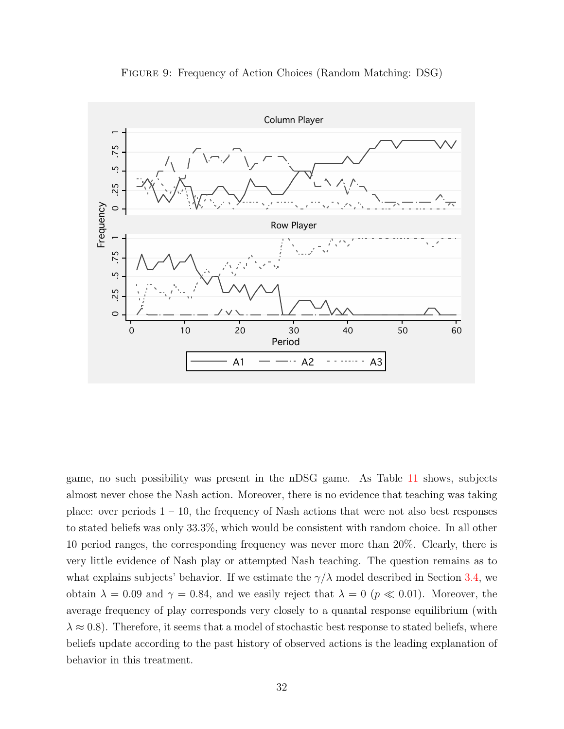<span id="page-31-0"></span>

Figure 9: Frequency of Action Choices (Random Matching: DSG)

game, no such possibility was present in the nDSG game. As Table [11](#page-30-0) shows, subjects almost never chose the Nash action. Moreover, there is no evidence that teaching was taking place: over periods  $1 - 10$ , the frequency of Nash actions that were not also best responses to stated beliefs was only 33.3%, which would be consistent with random choice. In all other 10 period ranges, the corresponding frequency was never more than 20%. Clearly, there is very little evidence of Nash play or attempted Nash teaching. The question remains as to what explains subjects' behavior. If we estimate the  $\gamma/\lambda$  model described in Section [3.4,](#page-19-1) we obtain  $\lambda = 0.09$  and  $\gamma = 0.84$ , and we easily reject that  $\lambda = 0$  ( $p \ll 0.01$ ). Moreover, the average frequency of play corresponds very closely to a quantal response equilibrium (with  $\lambda \approx 0.8$ ). Therefore, it seems that a model of stochastic best response to stated beliefs, where beliefs update according to the past history of observed actions is the leading explanation of behavior in this treatment.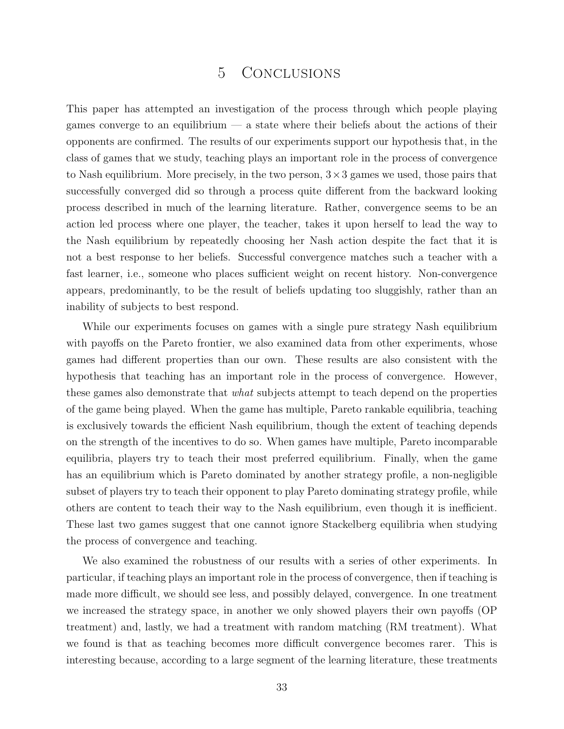# 5 Conclusions

<span id="page-32-0"></span>This paper has attempted an investigation of the process through which people playing games converge to an equilibrium  $-$  a state where their beliefs about the actions of their opponents are confirmed. The results of our experiments support our hypothesis that, in the class of games that we study, teaching plays an important role in the process of convergence to Nash equilibrium. More precisely, in the two person,  $3 \times 3$  games we used, those pairs that successfully converged did so through a process quite different from the backward looking process described in much of the learning literature. Rather, convergence seems to be an action led process where one player, the teacher, takes it upon herself to lead the way to the Nash equilibrium by repeatedly choosing her Nash action despite the fact that it is not a best response to her beliefs. Successful convergence matches such a teacher with a fast learner, i.e., someone who places sufficient weight on recent history. Non-convergence appears, predominantly, to be the result of beliefs updating too sluggishly, rather than an inability of subjects to best respond.

While our experiments focuses on games with a single pure strategy Nash equilibrium with payoffs on the Pareto frontier, we also examined data from other experiments, whose games had different properties than our own. These results are also consistent with the hypothesis that teaching has an important role in the process of convergence. However, these games also demonstrate that *what* subjects attempt to teach depend on the properties of the game being played. When the game has multiple, Pareto rankable equilibria, teaching is exclusively towards the efficient Nash equilibrium, though the extent of teaching depends on the strength of the incentives to do so. When games have multiple, Pareto incomparable equilibria, players try to teach their most preferred equilibrium. Finally, when the game has an equilibrium which is Pareto dominated by another strategy profile, a non-negligible subset of players try to teach their opponent to play Pareto dominating strategy profile, while others are content to teach their way to the Nash equilibrium, even though it is inefficient. These last two games suggest that one cannot ignore Stackelberg equilibria when studying the process of convergence and teaching.

We also examined the robustness of our results with a series of other experiments. In particular, if teaching plays an important role in the process of convergence, then if teaching is made more difficult, we should see less, and possibly delayed, convergence. In one treatment we increased the strategy space, in another we only showed players their own payoffs (OP treatment) and, lastly, we had a treatment with random matching (RM treatment). What we found is that as teaching becomes more difficult convergence becomes rarer. This is interesting because, according to a large segment of the learning literature, these treatments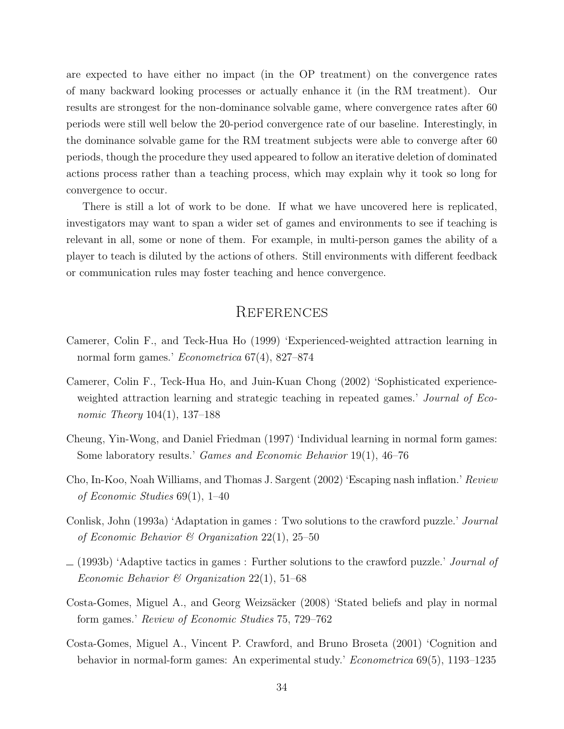are expected to have either no impact (in the OP treatment) on the convergence rates of many backward looking processes or actually enhance it (in the RM treatment). Our results are strongest for the non-dominance solvable game, where convergence rates after 60 periods were still well below the 20-period convergence rate of our baseline. Interestingly, in the dominance solvable game for the RM treatment subjects were able to converge after 60 periods, though the procedure they used appeared to follow an iterative deletion of dominated actions process rather than a teaching process, which may explain why it took so long for convergence to occur.

There is still a lot of work to be done. If what we have uncovered here is replicated, investigators may want to span a wider set of games and environments to see if teaching is relevant in all, some or none of them. For example, in multi-person games the ability of a player to teach is diluted by the actions of others. Still environments with different feedback or communication rules may foster teaching and hence convergence.

# **REFERENCES**

- <span id="page-33-0"></span>Camerer, Colin F., and Teck-Hua Ho (1999) 'Experienced-weighted attraction learning in normal form games.' *Econometrica* 67(4), 827–874
- <span id="page-33-2"></span>Camerer, Colin F., Teck-Hua Ho, and Juin-Kuan Chong (2002) 'Sophisticated experienceweighted attraction learning and strategic teaching in repeated games.' Journal of Economic Theory 104(1), 137–188
- <span id="page-33-7"></span>Cheung, Yin-Wong, and Daniel Friedman (1997) 'Individual learning in normal form games: Some laboratory results.' Games and Economic Behavior 19(1), 46–76
- <span id="page-33-1"></span>Cho, In-Koo, Noah Williams, and Thomas J. Sargent (2002) 'Escaping nash inflation.' Review of Economic Studies 69(1), 1–40
- <span id="page-33-3"></span>Conlisk, John (1993a) 'Adaptation in games : Two solutions to the crawford puzzle.' Journal of Economic Behavior & Organization 22(1), 25–50
- <span id="page-33-4"></span> $(1993b)$  'Adaptive tactics in games : Further solutions to the crawford puzzle.' *Journal of* Economic Behavior & Organization 22(1), 51–68
- <span id="page-33-6"></span>Costa-Gomes, Miguel A., and Georg Weizsäcker (2008) 'Stated beliefs and play in normal form games.' Review of Economic Studies 75, 729–762
- <span id="page-33-5"></span>Costa-Gomes, Miguel A., Vincent P. Crawford, and Bruno Broseta (2001) 'Cognition and behavior in normal-form games: An experimental study.' Econometrica 69(5), 1193–1235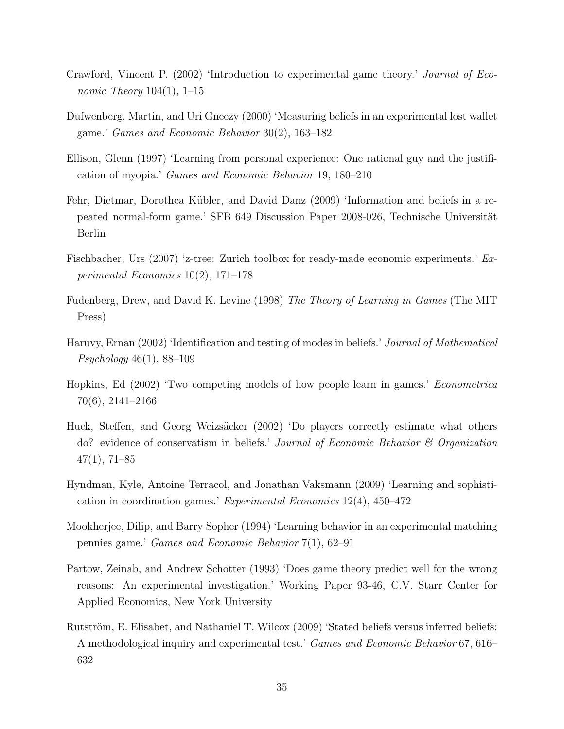- <span id="page-34-3"></span>Crawford, Vincent P. (2002) 'Introduction to experimental game theory.' Journal of Eco*nomic Theory* 104(1), 1–15
- <span id="page-34-9"></span>Dufwenberg, Martin, and Uri Gneezy (2000) 'Measuring beliefs in an experimental lost wallet game.' Games and Economic Behavior 30(2), 163–182
- <span id="page-34-2"></span>Ellison, Glenn (1997) 'Learning from personal experience: One rational guy and the justification of myopia.' Games and Economic Behavior 19, 180–210
- <span id="page-34-5"></span>Fehr, Dietmar, Dorothea Kübler, and David Danz (2009) 'Information and beliefs in a repeated normal-form game.' SFB 649 Discussion Paper 2008-026, Technische Universität Berlin
- <span id="page-34-6"></span>Fischbacher, Urs (2007) 'z-tree: Zurich toolbox for ready-made economic experiments.' Experimental Economics 10(2), 171–178
- <span id="page-34-0"></span>Fudenberg, Drew, and David K. Levine (1998) The Theory of Learning in Games (The MIT Press)
- <span id="page-34-7"></span>Haruvy, Ernan (2002) 'Identification and testing of modes in beliefs.' Journal of Mathematical Psychology 46(1), 88–109
- <span id="page-34-1"></span>Hopkins, Ed (2002) 'Two competing models of how people learn in games.' Econometrica 70(6), 2141–2166
- <span id="page-34-8"></span>Huck, Steffen, and Georg Weizsäcker (2002) 'Do players correctly estimate what others do? evidence of conservatism in beliefs.' Journal of Economic Behavior  $\mathcal C$  Organization 47(1), 71–85
- <span id="page-34-4"></span>Hyndman, Kyle, Antoine Terracol, and Jonathan Vaksmann (2009) 'Learning and sophistication in coordination games.' Experimental Economics 12(4), 450–472
- <span id="page-34-12"></span>Mookherjee, Dilip, and Barry Sopher (1994) 'Learning behavior in an experimental matching pennies game.' Games and Economic Behavior 7(1), 62–91
- <span id="page-34-11"></span>Partow, Zeinab, and Andrew Schotter (1993) 'Does game theory predict well for the wrong reasons: An experimental investigation.' Working Paper 93-46, C.V. Starr Center for Applied Economics, New York University
- <span id="page-34-10"></span>Rutström, E. Elisabet, and Nathaniel T. Wilcox (2009) 'Stated beliefs versus inferred beliefs: A methodological inquiry and experimental test.' Games and Economic Behavior 67, 616– 632